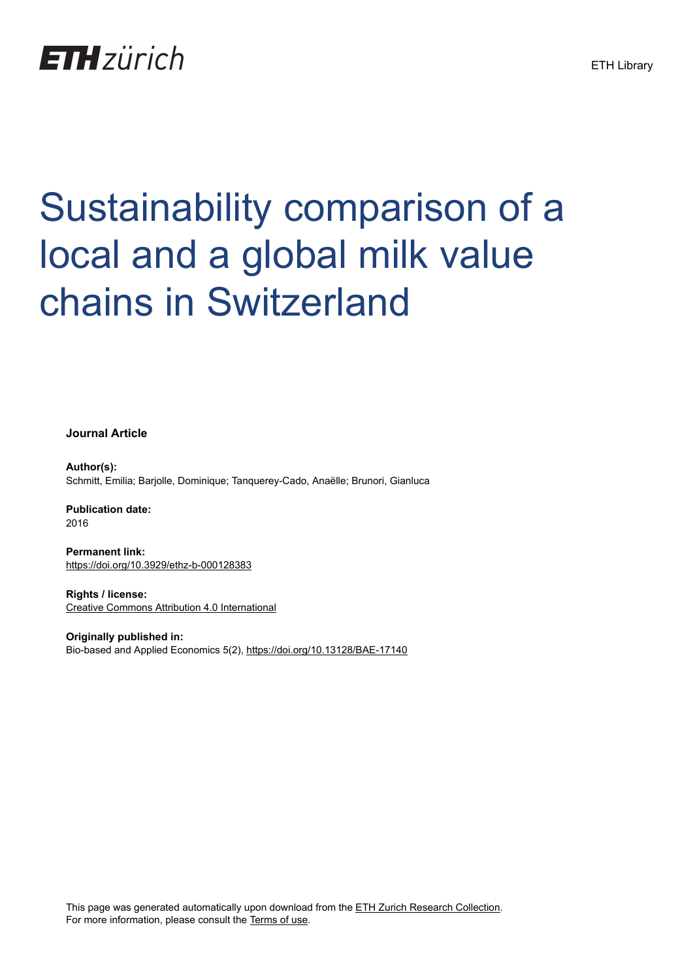## **ETH**zürich

# Sustainability comparison of a local and a global milk value chains in Switzerland

**Journal Article**

**Author(s):** Schmitt, Emilia; Barjolle, Dominique; Tanquerey-Cado, Anaëlle; Brunori, Gianluca

**Publication date:** 2016

**Permanent link:** <https://doi.org/10.3929/ethz-b-000128383>

**Rights / license:** [Creative Commons Attribution 4.0 International](http://creativecommons.org/licenses/by/4.0/)

**Originally published in:** Bio-based and Applied Economics 5(2), <https://doi.org/10.13128/BAE-17140>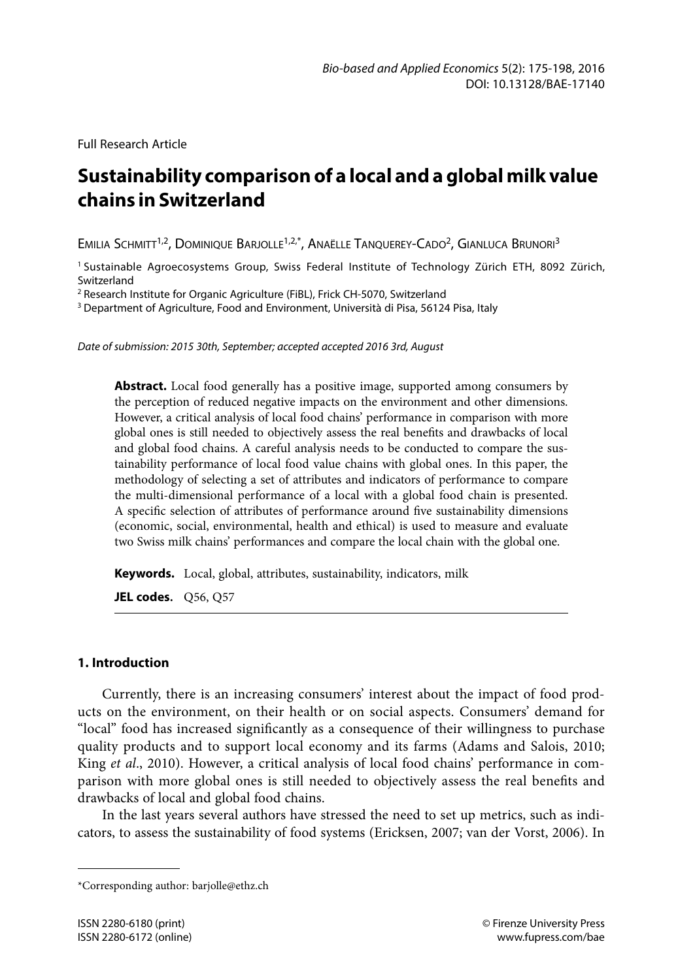Full Research Article

### **Sustainability comparison of a local and a global milk value chains in Switzerland**

EMILIA SCHMITT<sup>1,2</sup>, DOMINIQUE BARJOLLE<sup>1,2,\*</sup>, ANAËLLE TANQUEREY-CADO<sup>2</sup>, GIANLUCA BRUNORI<sup>3</sup>

<sup>1</sup> Sustainable Agroecosystems Group, Swiss Federal Institute of Technology Zürich ETH, 8092 Zürich, Switzerland

<sup>2</sup> Research Institute for Organic Agriculture (FiBL), Frick CH-5070, Switzerland

<sup>3</sup> Department of Agriculture, Food and Environment, Università di Pisa, 56124 Pisa, Italy

*Date of submission: 2015 30th, September; accepted accepted 2016 3rd, August* 

**Abstract.** Local food generally has a positive image, supported among consumers by the perception of reduced negative impacts on the environment and other dimensions. However, a critical analysis of local food chains' performance in comparison with more global ones is still needed to objectively assess the real benefits and drawbacks of local and global food chains. A careful analysis needs to be conducted to compare the sustainability performance of local food value chains with global ones. In this paper, the methodology of selecting a set of attributes and indicators of performance to compare the multi-dimensional performance of a local with a global food chain is presented. A specific selection of attributes of performance around five sustainability dimensions (economic, social, environmental, health and ethical) is used to measure and evaluate two Swiss milk chains' performances and compare the local chain with the global one.

**Keywords.** Local, global, attributes, sustainability, indicators, milk

**JEL codes.** Q56, Q57

#### **1. Introduction**

Currently, there is an increasing consumers' interest about the impact of food products on the environment, on their health or on social aspects. Consumers' demand for "local" food has increased significantly as a consequence of their willingness to purchase quality products and to support local economy and its farms (Adams and Salois, 2010; King *et al*., 2010). However, a critical analysis of local food chains' performance in comparison with more global ones is still needed to objectively assess the real benefits and drawbacks of local and global food chains.

In the last years several authors have stressed the need to set up metrics, such as indicators, to assess the sustainability of food systems (Ericksen, 2007; van der Vorst, 2006). In

<sup>\*</sup>Corresponding author: barjolle@ethz.ch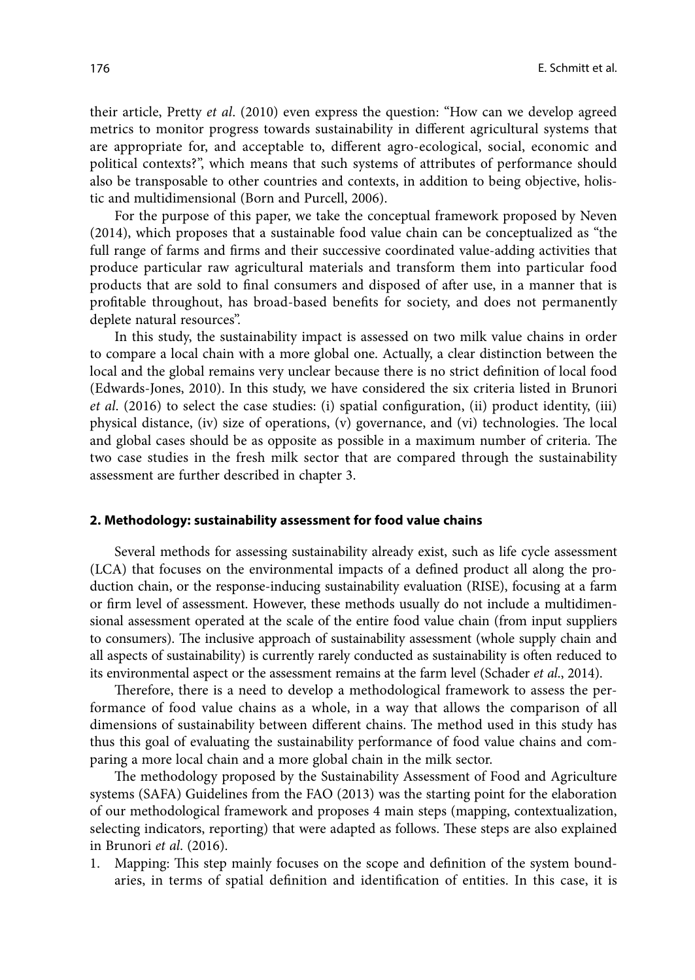their article, Pretty *et al*. (2010) even express the question: "How can we develop agreed metrics to monitor progress towards sustainability in different agricultural systems that are appropriate for, and acceptable to, different agro-ecological, social, economic and political contexts?", which means that such systems of attributes of performance should also be transposable to other countries and contexts, in addition to being objective, holistic and multidimensional (Born and Purcell, 2006).

For the purpose of this paper, we take the conceptual framework proposed by Neven (2014), which proposes that a sustainable food value chain can be conceptualized as "the full range of farms and firms and their successive coordinated value-adding activities that produce particular raw agricultural materials and transform them into particular food products that are sold to final consumers and disposed of after use, in a manner that is profitable throughout, has broad-based benefits for society, and does not permanently deplete natural resources".

In this study, the sustainability impact is assessed on two milk value chains in order to compare a local chain with a more global one. Actually, a clear distinction between the local and the global remains very unclear because there is no strict definition of local food (Edwards-Jones, 2010). In this study, we have considered the six criteria listed in Brunori *et al*. (2016) to select the case studies: (i) spatial configuration, (ii) product identity, (iii) physical distance, (iv) size of operations, (v) governance, and (vi) technologies. The local and global cases should be as opposite as possible in a maximum number of criteria. The two case studies in the fresh milk sector that are compared through the sustainability assessment are further described in chapter 3.

#### **2. Methodology: sustainability assessment for food value chains**

Several methods for assessing sustainability already exist, such as life cycle assessment (LCA) that focuses on the environmental impacts of a defined product all along the production chain, or the response-inducing sustainability evaluation (RISE), focusing at a farm or firm level of assessment. However, these methods usually do not include a multidimensional assessment operated at the scale of the entire food value chain (from input suppliers to consumers). The inclusive approach of sustainability assessment (whole supply chain and all aspects of sustainability) is currently rarely conducted as sustainability is often reduced to its environmental aspect or the assessment remains at the farm level (Schader *et al*., 2014).

Therefore, there is a need to develop a methodological framework to assess the performance of food value chains as a whole, in a way that allows the comparison of all dimensions of sustainability between different chains. The method used in this study has thus this goal of evaluating the sustainability performance of food value chains and comparing a more local chain and a more global chain in the milk sector.

The methodology proposed by the Sustainability Assessment of Food and Agriculture systems (SAFA) Guidelines from the FAO (2013) was the starting point for the elaboration of our methodological framework and proposes 4 main steps (mapping, contextualization, selecting indicators, reporting) that were adapted as follows. These steps are also explained in Brunori *et al*. (2016).

1. Mapping: This step mainly focuses on the scope and definition of the system boundaries, in terms of spatial definition and identification of entities. In this case, it is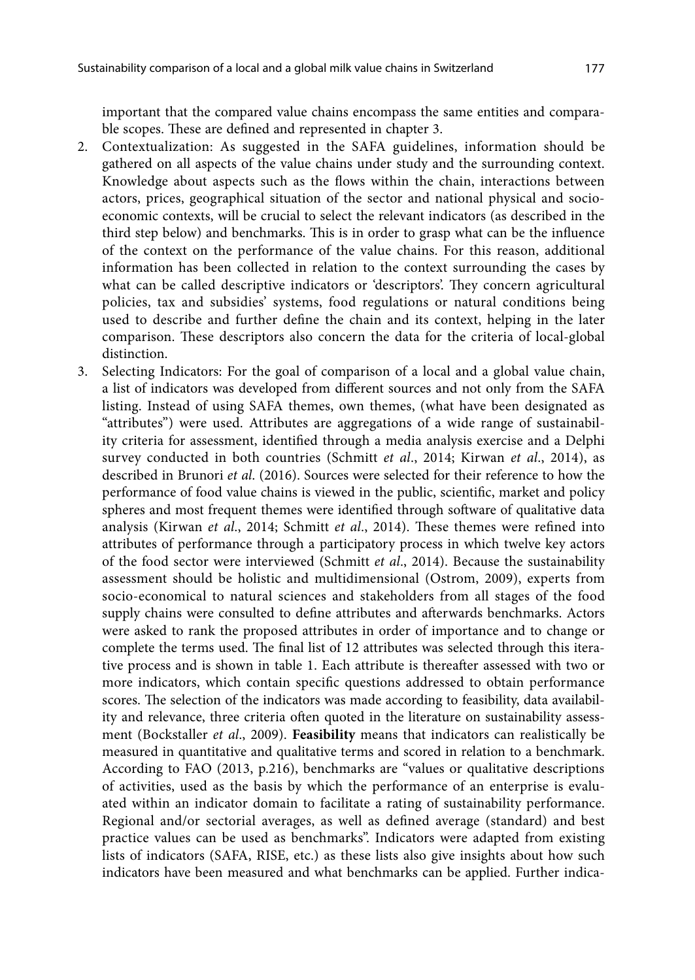important that the compared value chains encompass the same entities and comparable scopes. These are defined and represented in chapter 3.

- 2. Contextualization: As suggested in the SAFA guidelines, information should be gathered on all aspects of the value chains under study and the surrounding context. Knowledge about aspects such as the flows within the chain, interactions between actors, prices, geographical situation of the sector and national physical and socioeconomic contexts, will be crucial to select the relevant indicators (as described in the third step below) and benchmarks. This is in order to grasp what can be the influence of the context on the performance of the value chains. For this reason, additional information has been collected in relation to the context surrounding the cases by what can be called descriptive indicators or 'descriptors'. They concern agricultural policies, tax and subsidies' systems, food regulations or natural conditions being used to describe and further define the chain and its context, helping in the later comparison. These descriptors also concern the data for the criteria of local-global distinction.
- 3. Selecting Indicators: For the goal of comparison of a local and a global value chain, a list of indicators was developed from different sources and not only from the SAFA listing. Instead of using SAFA themes, own themes, (what have been designated as "attributes") were used. Attributes are aggregations of a wide range of sustainability criteria for assessment, identified through a media analysis exercise and a Delphi survey conducted in both countries (Schmitt *et al*., 2014; Kirwan *et al*., 2014), as described in Brunori *et al*. (2016). Sources were selected for their reference to how the performance of food value chains is viewed in the public, scientific, market and policy spheres and most frequent themes were identified through software of qualitative data analysis (Kirwan *et al*., 2014; Schmitt *et al*., 2014). These themes were refined into attributes of performance through a participatory process in which twelve key actors of the food sector were interviewed (Schmitt *et al*., 2014). Because the sustainability assessment should be holistic and multidimensional (Ostrom, 2009), experts from socio-economical to natural sciences and stakeholders from all stages of the food supply chains were consulted to define attributes and afterwards benchmarks. Actors were asked to rank the proposed attributes in order of importance and to change or complete the terms used. The final list of 12 attributes was selected through this iterative process and is shown in table 1. Each attribute is thereafter assessed with two or more indicators, which contain specific questions addressed to obtain performance scores. The selection of the indicators was made according to feasibility, data availability and relevance, three criteria often quoted in the literature on sustainability assessment (Bockstaller *et al*., 2009). **Feasibility** means that indicators can realistically be measured in quantitative and qualitative terms and scored in relation to a benchmark. According to FAO (2013, p.216), benchmarks are "values or qualitative descriptions of activities, used as the basis by which the performance of an enterprise is evaluated within an indicator domain to facilitate a rating of sustainability performance. Regional and/or sectorial averages, as well as defined average (standard) and best practice values can be used as benchmarks". Indicators were adapted from existing lists of indicators (SAFA, RISE, etc.) as these lists also give insights about how such indicators have been measured and what benchmarks can be applied. Further indica-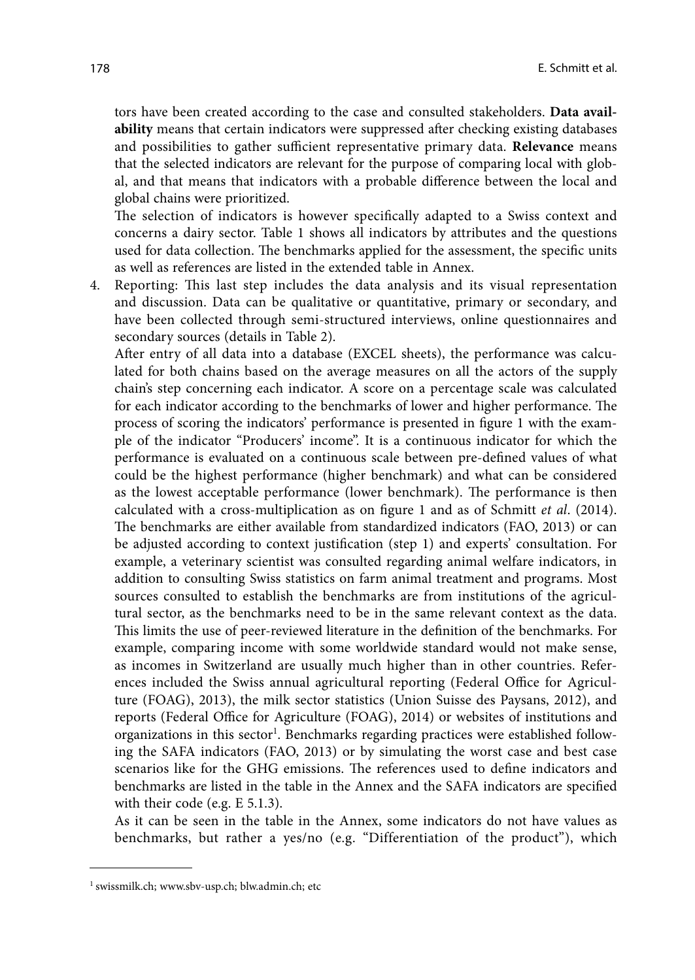tors have been created according to the case and consulted stakeholders. **Data availability** means that certain indicators were suppressed after checking existing databases and possibilities to gather sufficient representative primary data. **Relevance** means that the selected indicators are relevant for the purpose of comparing local with global, and that means that indicators with a probable difference between the local and global chains were prioritized.

The selection of indicators is however specifically adapted to a Swiss context and concerns a dairy sector. Table 1 shows all indicators by attributes and the questions used for data collection. The benchmarks applied for the assessment, the specific units as well as references are listed in the extended table in Annex.

4. Reporting: This last step includes the data analysis and its visual representation and discussion. Data can be qualitative or quantitative, primary or secondary, and have been collected through semi-structured interviews, online questionnaires and secondary sources (details in Table 2).

After entry of all data into a database (EXCEL sheets), the performance was calculated for both chains based on the average measures on all the actors of the supply chain's step concerning each indicator. A score on a percentage scale was calculated for each indicator according to the benchmarks of lower and higher performance. The process of scoring the indicators' performance is presented in figure 1 with the example of the indicator "Producers' income". It is a continuous indicator for which the performance is evaluated on a continuous scale between pre-defined values of what could be the highest performance (higher benchmark) and what can be considered as the lowest acceptable performance (lower benchmark). The performance is then calculated with a cross-multiplication as on figure 1 and as of Schmitt *et al*. (2014). The benchmarks are either available from standardized indicators (FAO, 2013) or can be adjusted according to context justification (step 1) and experts' consultation. For example, a veterinary scientist was consulted regarding animal welfare indicators, in addition to consulting Swiss statistics on farm animal treatment and programs. Most sources consulted to establish the benchmarks are from institutions of the agricultural sector, as the benchmarks need to be in the same relevant context as the data. This limits the use of peer-reviewed literature in the definition of the benchmarks. For example, comparing income with some worldwide standard would not make sense, as incomes in Switzerland are usually much higher than in other countries. References included the Swiss annual agricultural reporting (Federal Office for Agriculture (FOAG), 2013), the milk sector statistics (Union Suisse des Paysans, 2012), and reports (Federal Office for Agriculture (FOAG), 2014) or websites of institutions and organizations in this sector<sup>1</sup>. Benchmarks regarding practices were established following the SAFA indicators (FAO, 2013) or by simulating the worst case and best case scenarios like for the GHG emissions. The references used to define indicators and benchmarks are listed in the table in the Annex and the SAFA indicators are specified with their code (e.g. E 5.1.3).

As it can be seen in the table in the Annex, some indicators do not have values as benchmarks, but rather a yes/no (e.g. "Differentiation of the product"), which

<sup>1</sup> swissmilk.ch; www.sbv-usp.ch; blw.admin.ch; etc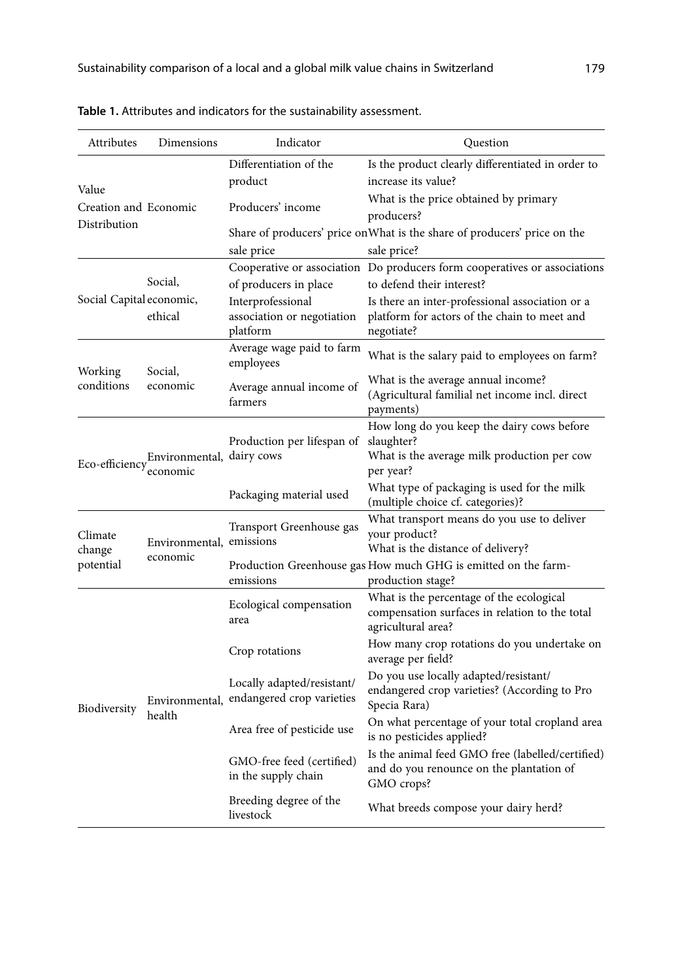| Attributes                            | Dimensions                                           | Indicator                                                   | Question                                                                                                             |
|---------------------------------------|------------------------------------------------------|-------------------------------------------------------------|----------------------------------------------------------------------------------------------------------------------|
| Value                                 |                                                      | Differentiation of the<br>product                           | Is the product clearly differentiated in order to<br>increase its value?                                             |
| Creation and Economic<br>Distribution |                                                      | Producers' income                                           | What is the price obtained by primary<br>producers?                                                                  |
|                                       |                                                      | sale price                                                  | Share of producers' price on What is the share of producers' price on the<br>sale price?                             |
|                                       |                                                      |                                                             | Cooperative or association Do producers form cooperatives or associations                                            |
|                                       | Social,                                              | of producers in place                                       | to defend their interest?                                                                                            |
| Social Capital economic,              | ethical                                              | Interprofessional<br>association or negotiation<br>platform | Is there an inter-professional association or a<br>platform for actors of the chain to meet and<br>negotiate?        |
| Working                               | Social,                                              | Average wage paid to farm<br>employees                      | What is the salary paid to employees on farm?                                                                        |
| conditions                            | economic                                             | Average annual income of<br>farmers                         | What is the average annual income?<br>(Agricultural familial net income incl. direct<br>payments)                    |
|                                       | Eco-efficiency Environmental, dairy cows<br>economic | Production per lifespan of                                  | How long do you keep the dairy cows before<br>slaughter?<br>What is the average milk production per cow<br>per year? |
|                                       |                                                      | Packaging material used                                     | What type of packaging is used for the milk<br>(multiple choice cf. categories)?                                     |
| Climate<br>change                     | Environmental, emissions                             | Transport Greenhouse gas                                    | What transport means do you use to deliver<br>your product?<br>What is the distance of delivery?                     |
| potential                             | economic                                             | emissions                                                   | Production Greenhouse gas How much GHG is emitted on the farm-<br>production stage?                                  |
|                                       |                                                      | Ecological compensation<br>area                             | What is the percentage of the ecological<br>compensation surfaces in relation to the total<br>agricultural area?     |
|                                       |                                                      | Crop rotations                                              | How many crop rotations do you undertake on<br>average per field?                                                    |
| Biodiversity                          | Environmental,                                       | Locally adapted/resistant/<br>endangered crop varieties     | Do you use locally adapted/resistant/<br>endangered crop varieties? (According to Pro<br>Specia Rara)                |
|                                       | health                                               | Area free of pesticide use                                  | On what percentage of your total cropland area<br>is no pesticides applied?                                          |
|                                       |                                                      | GMO-free feed (certified)<br>in the supply chain            | Is the animal feed GMO free (labelled/certified)<br>and do you renounce on the plantation of<br>GMO crops?           |
|                                       |                                                      | Breeding degree of the<br>livestock                         | What breeds compose your dairy herd?                                                                                 |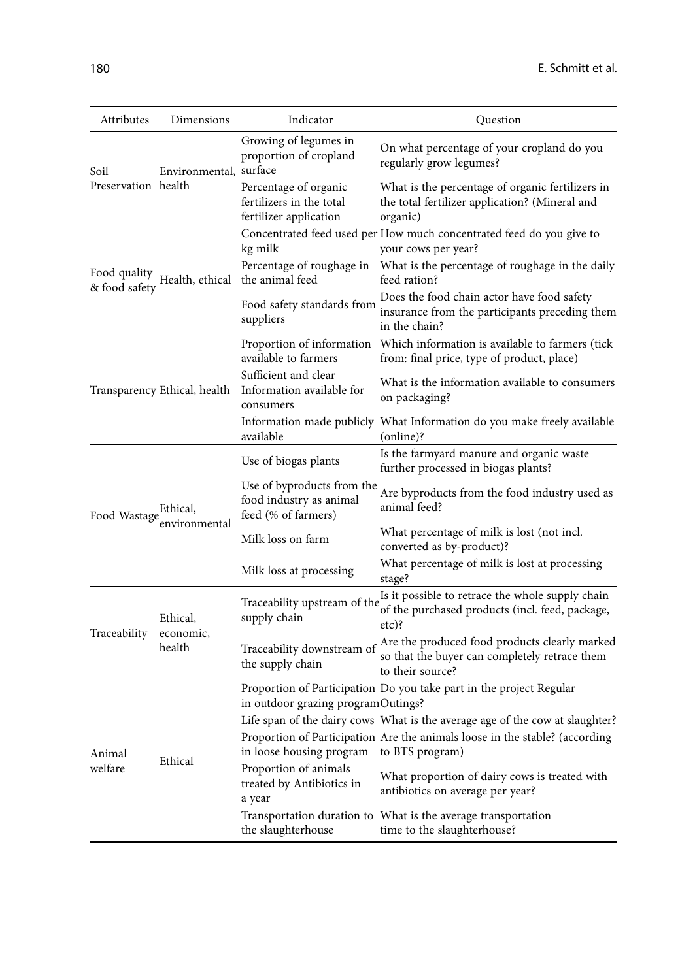| Attributes            | Dimensions                   | Indicator                                                                    | Question                                                                                                           |
|-----------------------|------------------------------|------------------------------------------------------------------------------|--------------------------------------------------------------------------------------------------------------------|
| Soil                  | Environmental, surface       | Growing of legumes in<br>proportion of cropland                              | On what percentage of your cropland do you<br>regularly grow legumes?                                              |
| Preservation health   |                              | Percentage of organic<br>fertilizers in the total<br>fertilizer application  | What is the percentage of organic fertilizers in<br>the total fertilizer application? (Mineral and<br>organic)     |
|                       |                              | kg milk                                                                      | Concentrated feed used per How much concentrated feed do you give to<br>your cows per year?                        |
| & food safety         | Food quality Health, ethical | Percentage of roughage in<br>the animal feed                                 | What is the percentage of roughage in the daily<br>feed ration?                                                    |
|                       |                              | Food safety standards from<br>suppliers                                      | Does the food chain actor have food safety<br>insurance from the participants preceding them<br>in the chain?      |
|                       |                              | Proportion of information<br>available to farmers                            | Which information is available to farmers (tick<br>from: final price, type of product, place)                      |
|                       | Transparency Ethical, health | Sufficient and clear<br>Information available for<br>consumers               | What is the information available to consumers<br>on packaging?                                                    |
|                       |                              | available                                                                    | Information made publicly What Information do you make freely available<br>(online)?                               |
|                       |                              | Use of biogas plants                                                         | Is the farmyard manure and organic waste<br>further processed in biogas plants?                                    |
| Food Wastage Ethical, |                              | Use of byproducts from the<br>food industry as animal<br>feed (% of farmers) | Are byproducts from the food industry used as<br>animal feed?                                                      |
|                       | environmental                | Milk loss on farm                                                            | What percentage of milk is lost (not incl.<br>converted as by-product)?                                            |
|                       |                              | Milk loss at processing                                                      | What percentage of milk is lost at processing<br>stage?                                                            |
|                       | Ethical,                     | Traceability upstream of the<br>supply chain                                 | Is it possible to retrace the whole supply chain<br>of the purchased products (incl. feed, package,<br>$etc$ ?     |
| Traceability          | economic,<br>health          | Traceability downstream of<br>the supply chain                               | Are the produced food products clearly marked<br>so that the buyer can completely retrace them<br>to their source? |
|                       |                              | in outdoor grazing programOutings?                                           | Proportion of Participation Do you take part in the project Regular                                                |
|                       |                              |                                                                              | Life span of the dairy cows What is the average age of the cow at slaughter?                                       |
| Animal                | Ethical                      | in loose housing program                                                     | Proportion of Participation Are the animals loose in the stable? (according<br>to BTS program)                     |
| welfare               |                              | Proportion of animals<br>treated by Antibiotics in<br>a year                 | What proportion of dairy cows is treated with<br>antibiotics on average per year?                                  |
|                       |                              | the slaughterhouse                                                           | Transportation duration to What is the average transportation<br>time to the slaughterhouse?                       |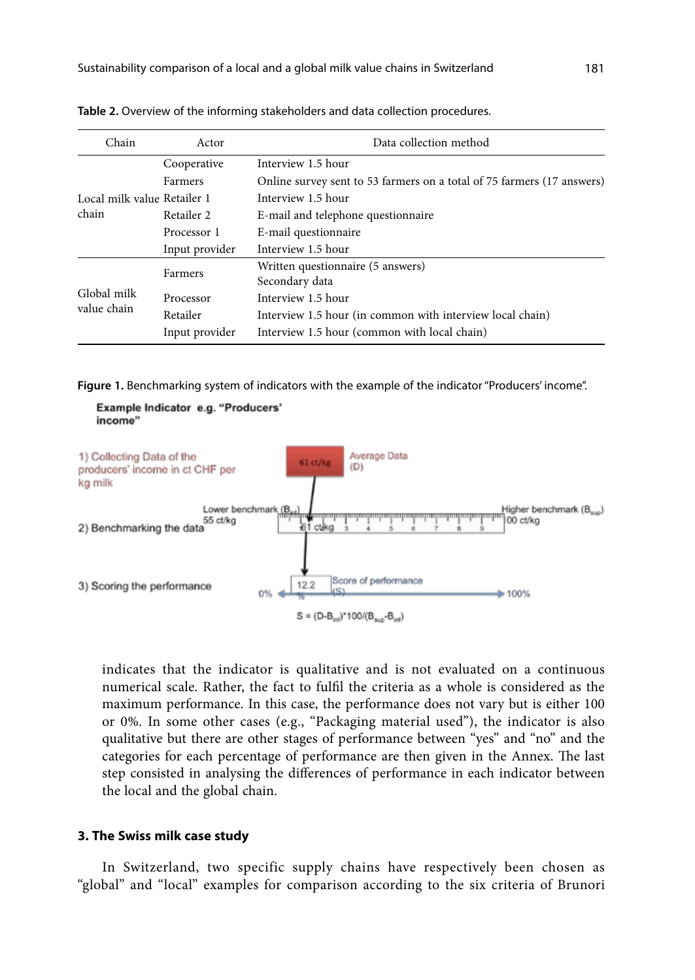| Chain                       | Actor          | Data collection method                                                 |
|-----------------------------|----------------|------------------------------------------------------------------------|
|                             | Cooperative    | Interview 1.5 hour                                                     |
|                             | Farmers        | Online survey sent to 53 farmers on a total of 75 farmers (17 answers) |
| Local milk value Retailer 1 |                | Interview 1.5 hour                                                     |
| chain                       | Retailer 2     | E-mail and telephone questionnaire                                     |
|                             | Processor 1    | E-mail questionnaire                                                   |
|                             | Input provider | Interview 1.5 hour                                                     |
|                             | Farmers        | Written questionnaire (5 answers)                                      |
|                             |                | Secondary data                                                         |
| Global milk                 | Processor      | Interview 1.5 hour                                                     |
| value chain                 | Retailer       | Interview 1.5 hour (in common with interview local chain)              |
|                             | Input provider | Interview 1.5 hour (common with local chain)                           |

**Table 2.** Overview of the informing stakeholders and data collection procedures.

**Figure 1.** Benchmarking system of indicators with the example of the indicator "Producers' income".



indicates that the indicator is qualitative and is not evaluated on a continuous numerical scale. Rather, the fact to fulfil the criteria as a whole is considered as the maximum performance. In this case, the performance does not vary but is either 100 or 0%. In some other cases (e.g., "Packaging material used"), the indicator is also qualitative but there are other stages of performance between "yes" and "no" and the categories for each percentage of performance are then given in the Annex. The last step consisted in analysing the differences of performance in each indicator between the local and the global chain.

#### **3. The Swiss milk case study**

In Switzerland, two specific supply chains have respectively been chosen as "global" and "local" examples for comparison according to the six criteria of Brunori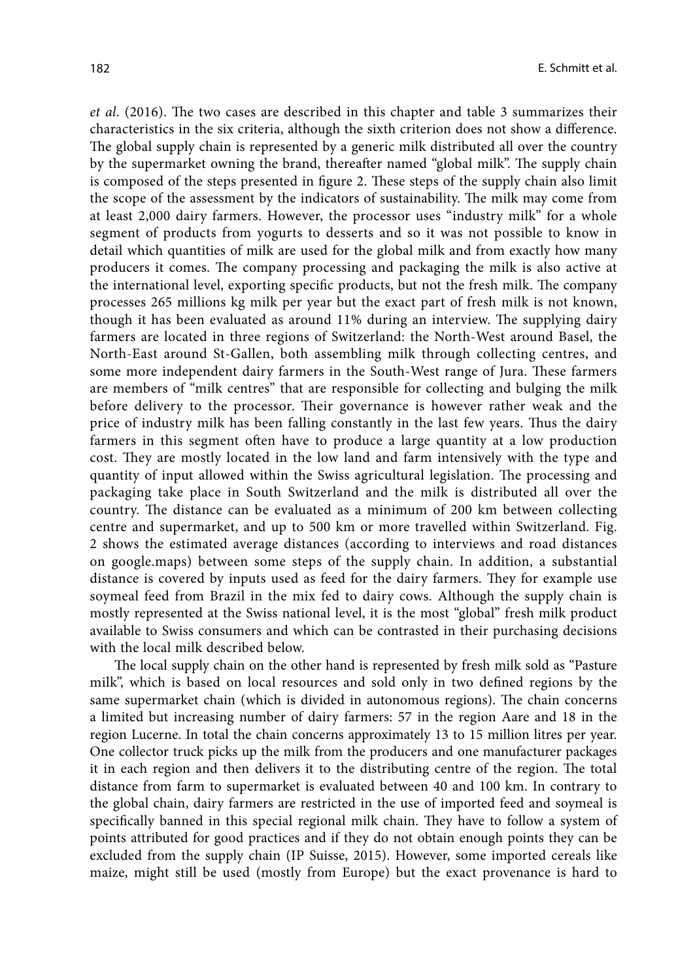*et al*. (2016). The two cases are described in this chapter and table 3 summarizes their characteristics in the six criteria, although the sixth criterion does not show a difference. The global supply chain is represented by a generic milk distributed all over the country by the supermarket owning the brand, thereafter named "global milk". The supply chain is composed of the steps presented in figure 2. These steps of the supply chain also limit the scope of the assessment by the indicators of sustainability. The milk may come from at least 2,000 dairy farmers. However, the processor uses "industry milk" for a whole segment of products from yogurts to desserts and so it was not possible to know in detail which quantities of milk are used for the global milk and from exactly how many producers it comes. The company processing and packaging the milk is also active at the international level, exporting specific products, but not the fresh milk. The company processes 265 millions kg milk per year but the exact part of fresh milk is not known, though it has been evaluated as around 11% during an interview. The supplying dairy farmers are located in three regions of Switzerland: the North-West around Basel, the North-East around St-Gallen, both assembling milk through collecting centres, and some more independent dairy farmers in the South-West range of Jura. These farmers are members of "milk centres" that are responsible for collecting and bulging the milk before delivery to the processor. Their governance is however rather weak and the price of industry milk has been falling constantly in the last few years. Thus the dairy farmers in this segment often have to produce a large quantity at a low production cost. They are mostly located in the low land and farm intensively with the type and quantity of input allowed within the Swiss agricultural legislation. The processing and packaging take place in South Switzerland and the milk is distributed all over the country. The distance can be evaluated as a minimum of 200 km between collecting centre and supermarket, and up to 500 km or more travelled within Switzerland. Fig. 2 shows the estimated average distances (according to interviews and road distances on google.maps) between some steps of the supply chain. In addition, a substantial distance is covered by inputs used as feed for the dairy farmers. They for example use soymeal feed from Brazil in the mix fed to dairy cows. Although the supply chain is mostly represented at the Swiss national level, it is the most "global" fresh milk product available to Swiss consumers and which can be contrasted in their purchasing decisions with the local milk described below.

The local supply chain on the other hand is represented by fresh milk sold as "Pasture milk", which is based on local resources and sold only in two defined regions by the same supermarket chain (which is divided in autonomous regions). The chain concerns a limited but increasing number of dairy farmers: 57 in the region Aare and 18 in the region Lucerne. In total the chain concerns approximately 13 to 15 million litres per year. One collector truck picks up the milk from the producers and one manufacturer packages it in each region and then delivers it to the distributing centre of the region. The total distance from farm to supermarket is evaluated between 40 and 100 km. In contrary to the global chain, dairy farmers are restricted in the use of imported feed and soymeal is specifically banned in this special regional milk chain. They have to follow a system of points attributed for good practices and if they do not obtain enough points they can be excluded from the supply chain (IP Suisse, 2015). However, some imported cereals like maize, might still be used (mostly from Europe) but the exact provenance is hard to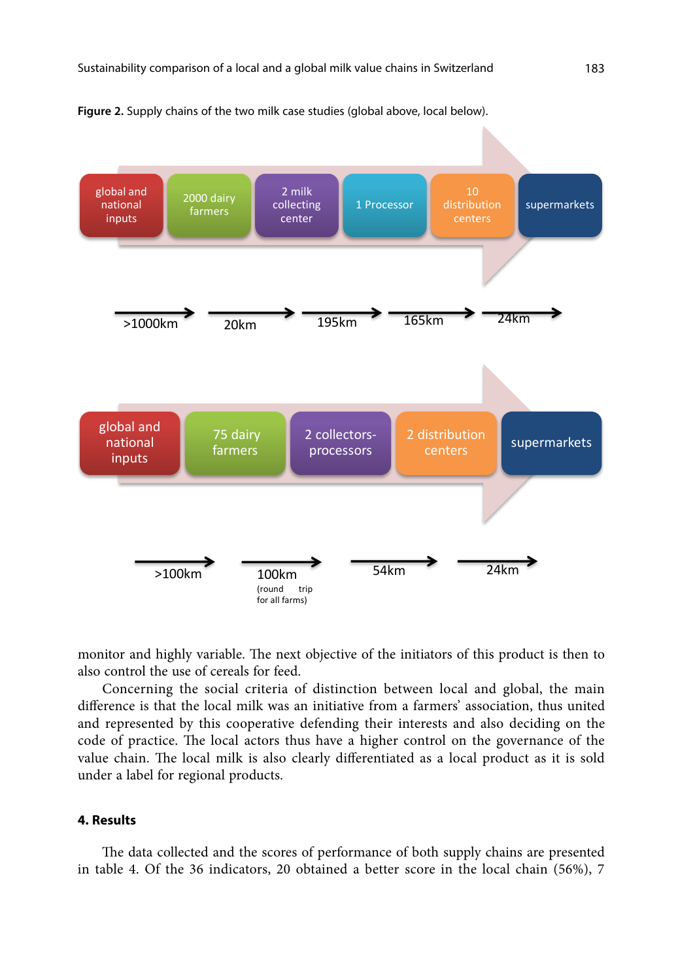



monitor and highly variable. The next objective of the initiators of this product is then to also control the use of cereals for feed.

Concerning the social criteria of distinction between local and global, the main difference is that the local milk was an initiative from a farmers' association, thus united and represented by this cooperative defending their interests and also deciding on the code of practice. The local actors thus have a higher control on the governance of the value chain. The local milk is also clearly differentiated as a local product as it is sold under a label for regional products.

#### **4. Results**

The data collected and the scores of performance of both supply chains are presented in table 4. Of the 36 indicators, 20 obtained a better score in the local chain (56%), 7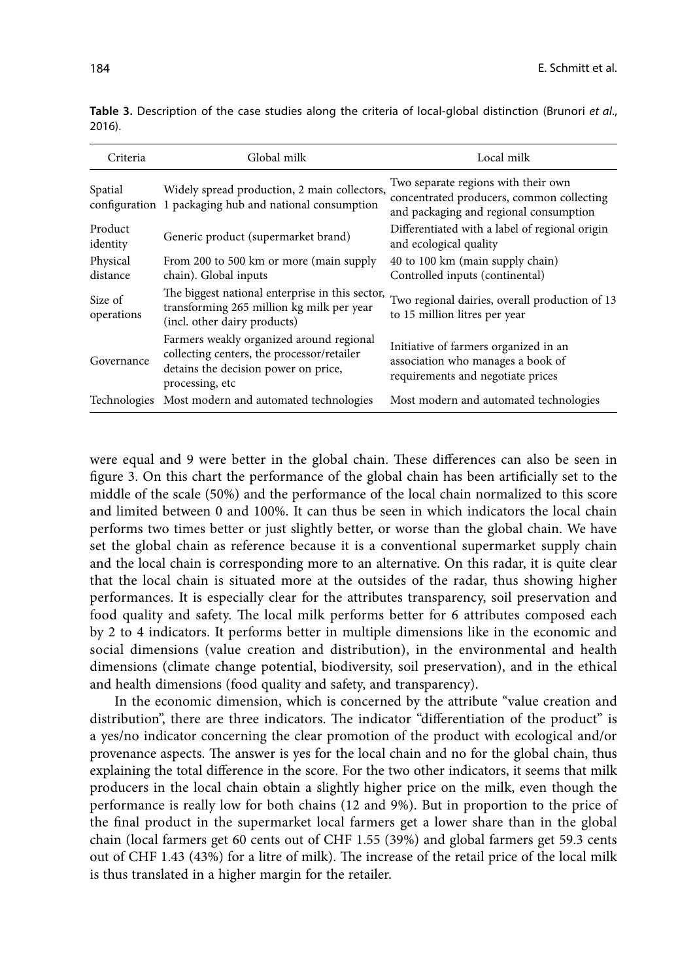| Criteria              | Global milk                                                                                                                                       | Local milk                                                                                                                 |
|-----------------------|---------------------------------------------------------------------------------------------------------------------------------------------------|----------------------------------------------------------------------------------------------------------------------------|
| Spatial               | Widely spread production, 2 main collectors,<br>configuration 1 packaging hub and national consumption                                            | Two separate regions with their own<br>concentrated producers, common collecting<br>and packaging and regional consumption |
| Product<br>identity   | Generic product (supermarket brand)                                                                                                               | Differentiated with a label of regional origin<br>and ecological quality                                                   |
| Physical<br>distance  | From 200 to 500 km or more (main supply<br>chain). Global inputs                                                                                  | 40 to 100 km (main supply chain)<br>Controlled inputs (continental)                                                        |
| Size of<br>operations | The biggest national enterprise in this sector,<br>transforming 265 million kg milk per year<br>(incl. other dairy products)                      | Two regional dairies, overall production of 13<br>to 15 million litres per year                                            |
| Governance            | Farmers weakly organized around regional<br>collecting centers, the processor/retailer<br>detains the decision power on price,<br>processing, etc | Initiative of farmers organized in an<br>association who manages a book of<br>requirements and negotiate prices            |
| Technologies          | Most modern and automated technologies                                                                                                            | Most modern and automated technologies                                                                                     |

**Table 3.** Description of the case studies along the criteria of local-global distinction (Brunori *et al*., 2016).

were equal and 9 were better in the global chain. These differences can also be seen in figure 3. On this chart the performance of the global chain has been artificially set to the middle of the scale (50%) and the performance of the local chain normalized to this score and limited between 0 and 100%. It can thus be seen in which indicators the local chain performs two times better or just slightly better, or worse than the global chain. We have set the global chain as reference because it is a conventional supermarket supply chain and the local chain is corresponding more to an alternative. On this radar, it is quite clear that the local chain is situated more at the outsides of the radar, thus showing higher performances. It is especially clear for the attributes transparency, soil preservation and food quality and safety. The local milk performs better for 6 attributes composed each by 2 to 4 indicators. It performs better in multiple dimensions like in the economic and social dimensions (value creation and distribution), in the environmental and health dimensions (climate change potential, biodiversity, soil preservation), and in the ethical and health dimensions (food quality and safety, and transparency).

In the economic dimension, which is concerned by the attribute "value creation and distribution", there are three indicators. The indicator "differentiation of the product" is a yes/no indicator concerning the clear promotion of the product with ecological and/or provenance aspects. The answer is yes for the local chain and no for the global chain, thus explaining the total difference in the score. For the two other indicators, it seems that milk producers in the local chain obtain a slightly higher price on the milk, even though the performance is really low for both chains (12 and 9%). But in proportion to the price of the final product in the supermarket local farmers get a lower share than in the global chain (local farmers get 60 cents out of CHF 1.55 (39%) and global farmers get 59.3 cents out of CHF 1.43 (43%) for a litre of milk). The increase of the retail price of the local milk is thus translated in a higher margin for the retailer.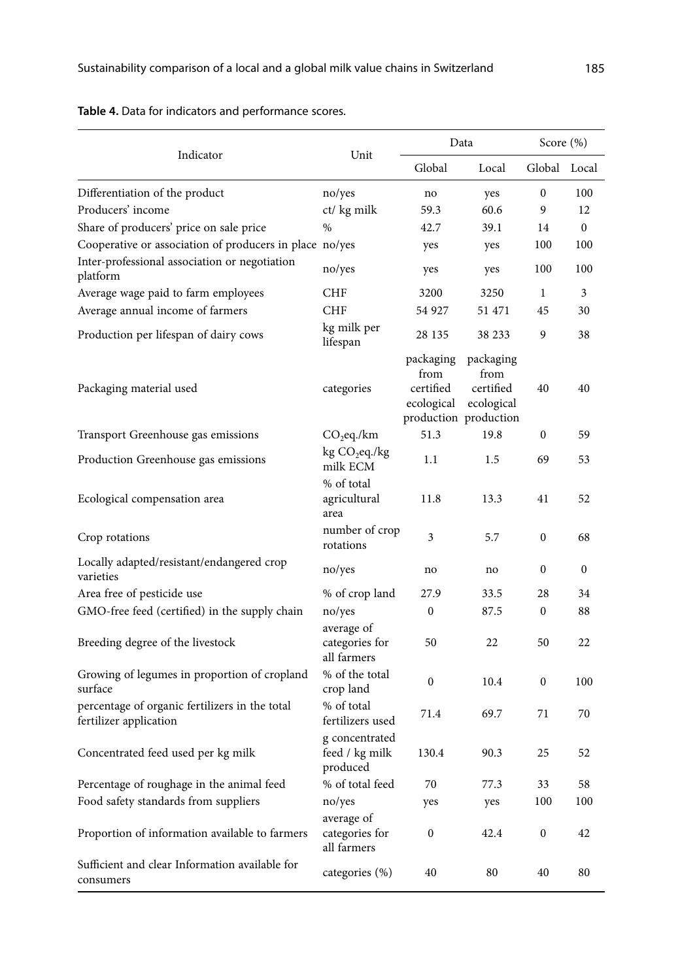|                                                                          |                                              |                                                                       | Data                                         | Score (%)        |              |
|--------------------------------------------------------------------------|----------------------------------------------|-----------------------------------------------------------------------|----------------------------------------------|------------------|--------------|
| Indicator                                                                | Unit                                         | Global                                                                | Local                                        | Global Local     |              |
| Differentiation of the product                                           | no/yes                                       | no                                                                    | yes                                          | $\mathbf{0}$     | 100          |
| Producers' income                                                        | ct/ kg milk                                  | 59.3                                                                  | 60.6                                         | 9                | 12           |
| Share of producers' price on sale price                                  | %                                            | 42.7                                                                  | 39.1                                         | 14               | $\mathbf{0}$ |
| Cooperative or association of producers in place no/yes                  |                                              | yes                                                                   | yes                                          | 100              | 100          |
| Inter-professional association or negotiation<br>platform                | no/yes                                       | yes                                                                   | yes                                          | 100              | 100          |
| Average wage paid to farm employees                                      | <b>CHF</b>                                   | 3200                                                                  | 3250                                         | $\mathbf{1}$     | 3            |
| Average annual income of farmers                                         | <b>CHF</b>                                   | 54 927                                                                | 51 471                                       | 45               | 30           |
| Production per lifespan of dairy cows                                    | kg milk per<br>lifespan                      | 28 135                                                                | 38 233                                       | 9                | 38           |
| Packaging material used                                                  | categories                                   | packaging<br>from<br>certified<br>ecological<br>production production | packaging<br>from<br>certified<br>ecological | 40               | 40           |
| Transport Greenhouse gas emissions                                       | $CO2$ eq./km                                 | 51.3                                                                  | 19.8                                         | $\boldsymbol{0}$ | 59           |
| Production Greenhouse gas emissions                                      | kg CO <sub>2</sub> eq./kg<br>milk ECM        | 1.1                                                                   | 1.5                                          | 69               | 53           |
| Ecological compensation area                                             | % of total<br>agricultural<br>area           | 11.8                                                                  | 13.3                                         | 41               | 52           |
| Crop rotations                                                           | number of crop<br>rotations                  | 3                                                                     | 5.7                                          | $\mathbf{0}$     | 68           |
| Locally adapted/resistant/endangered crop<br>varieties                   | no/yes                                       | no                                                                    | no                                           | $\mathbf{0}$     | $\mathbf{0}$ |
| Area free of pesticide use                                               | % of crop land                               | 27.9                                                                  | 33.5                                         | 28               | 34           |
| GMO-free feed (certified) in the supply chain                            | no/yes                                       | $\boldsymbol{0}$                                                      | 87.5                                         | 0                | 88           |
| Breeding degree of the livestock                                         | average of<br>categories for<br>all farmers  | 50                                                                    | 22                                           | 50               | 22           |
| Growing of legumes in proportion of cropland<br>surface                  | % of the total<br>crop land                  | $\boldsymbol{0}$                                                      | 10.4                                         | 0                | 100          |
| percentage of organic fertilizers in the total<br>fertilizer application | % of total<br>fertilizers used               | 71.4                                                                  | 69.7                                         | 71               | 70           |
| Concentrated feed used per kg milk                                       | g concentrated<br>feed / kg milk<br>produced | 130.4                                                                 | 90.3                                         | 25               | 52           |
| Percentage of roughage in the animal feed                                | % of total feed                              | 70                                                                    | 77.3                                         | 33               | 58           |
| Food safety standards from suppliers                                     | no/yes<br>average of                         | yes                                                                   | yes                                          | 100              | 100          |
| Proportion of information available to farmers                           | categories for<br>all farmers                | 0                                                                     | 42.4                                         | 0                | 42           |
| Sufficient and clear Information available for<br>consumers              | categories (%)                               | 40                                                                    | 80                                           | 40               | 80           |

**Table 4.** Data for indicators and performance scores.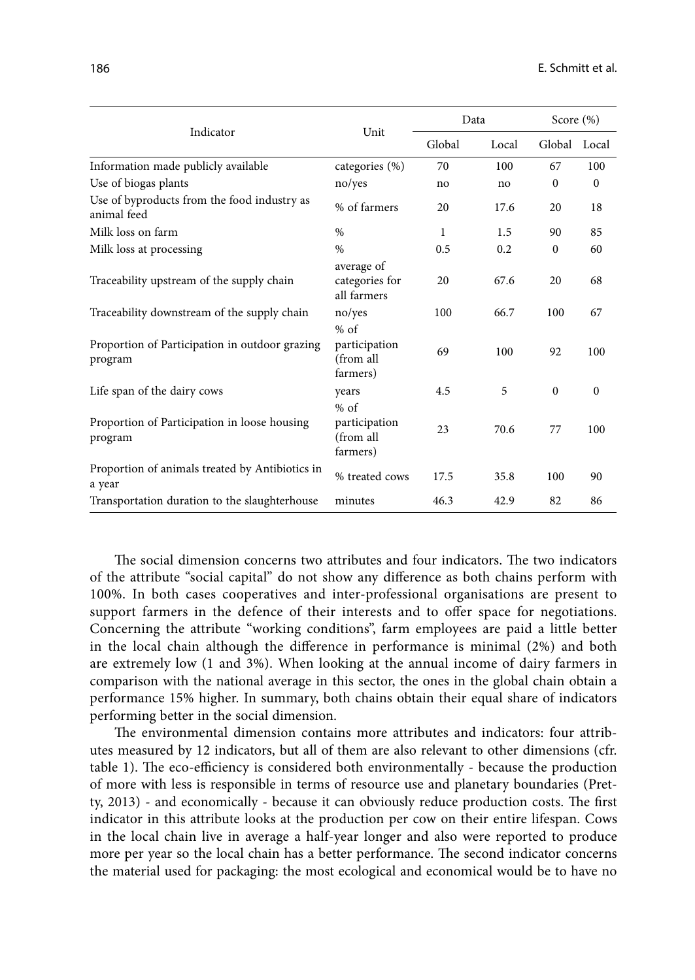|                                                            |                                                  | Data   |       | Score $(\% )$ |              |
|------------------------------------------------------------|--------------------------------------------------|--------|-------|---------------|--------------|
| Indicator                                                  | Unit                                             | Global | Local | Global        | Local        |
| Information made publicly available                        | categories (%)                                   | 70     | 100   | 67            | 100          |
| Use of biogas plants                                       | no/yes                                           | no     | no    | $\mathbf{0}$  | $\mathbf{0}$ |
| Use of byproducts from the food industry as<br>animal feed | % of farmers                                     | 20     | 17.6  | 20            | 18           |
| Milk loss on farm                                          | $\%$                                             | 1      | 1.5   | 90            | 85           |
| Milk loss at processing                                    | $\%$                                             | 0.5    | 0.2   | $\mathbf{0}$  | 60           |
| Traceability upstream of the supply chain                  | average of<br>categories for<br>all farmers      | 20     | 67.6  | 20            | 68           |
| Traceability downstream of the supply chain                | no/yes                                           | 100    | 66.7  | 100           | 67           |
| Proportion of Participation in outdoor grazing<br>program  | $%$ of<br>participation<br>(from all<br>farmers) | 69     | 100   | 92            | 100          |
| Life span of the dairy cows                                | years                                            | 4.5    | 5     | $\mathbf{0}$  | $\mathbf{0}$ |
| Proportion of Participation in loose housing<br>program    | $%$ of<br>participation<br>(from all<br>farmers) | 23     | 70.6  | 77            | 100          |
| Proportion of animals treated by Antibiotics in<br>a year  | % treated cows                                   | 17.5   | 35.8  | 100           | 90           |
| Transportation duration to the slaughterhouse              | minutes                                          | 46.3   | 42.9  | 82            | 86           |

The social dimension concerns two attributes and four indicators. The two indicators of the attribute "social capital" do not show any difference as both chains perform with 100%. In both cases cooperatives and inter-professional organisations are present to support farmers in the defence of their interests and to offer space for negotiations. Concerning the attribute "working conditions", farm employees are paid a little better in the local chain although the difference in performance is minimal (2%) and both are extremely low (1 and 3%). When looking at the annual income of dairy farmers in comparison with the national average in this sector, the ones in the global chain obtain a performance 15% higher. In summary, both chains obtain their equal share of indicators performing better in the social dimension.

The environmental dimension contains more attributes and indicators: four attributes measured by 12 indicators, but all of them are also relevant to other dimensions (cfr. table 1). The eco-efficiency is considered both environmentally - because the production of more with less is responsible in terms of resource use and planetary boundaries (Pretty, 2013) - and economically - because it can obviously reduce production costs. The first indicator in this attribute looks at the production per cow on their entire lifespan. Cows in the local chain live in average a half-year longer and also were reported to produce more per year so the local chain has a better performance. The second indicator concerns the material used for packaging: the most ecological and economical would be to have no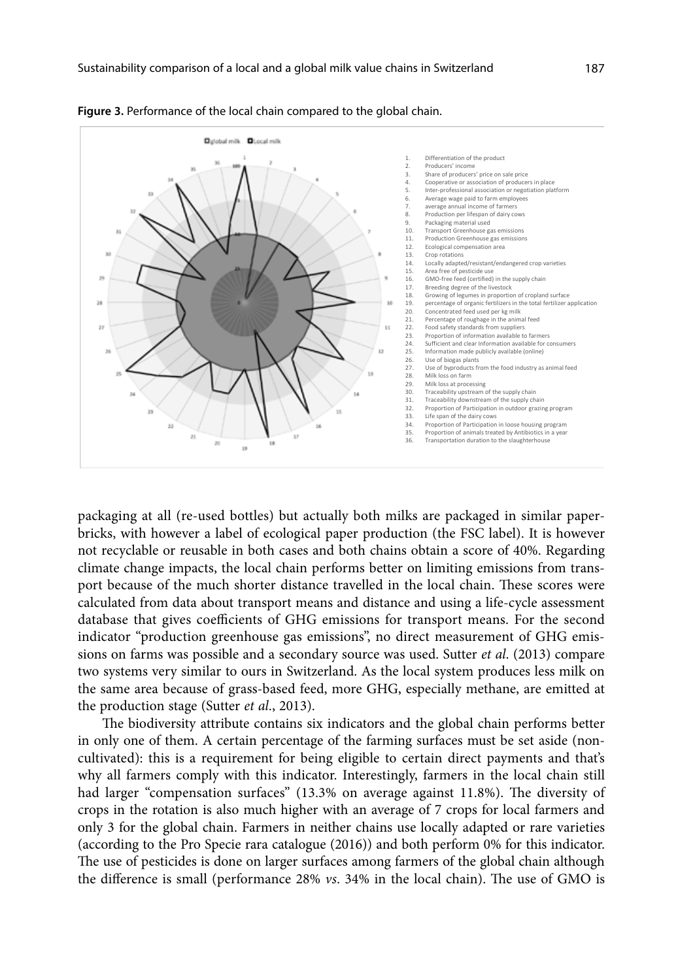

**Figure 3.** Performance of the local chain compared to the global chain.

packaging at all (re-used bottles) but actually both milks are packaged in similar paperbricks, with however a label of ecological paper production (the FSC label). It is however not recyclable or reusable in both cases and both chains obtain a score of 40%. Regarding climate change impacts, the local chain performs better on limiting emissions from transport because of the much shorter distance travelled in the local chain. These scores were calculated from data about transport means and distance and using a life-cycle assessment database that gives coefficients of GHG emissions for transport means. For the second indicator "production greenhouse gas emissions", no direct measurement of GHG emissions on farms was possible and a secondary source was used. Sutter *et al*. (2013) compare two systems very similar to ours in Switzerland. As the local system produces less milk on the same area because of grass-based feed, more GHG, especially methane, are emitted at the production stage (Sutter *et al*., 2013).

The biodiversity attribute contains six indicators and the global chain performs better in only one of them. A certain percentage of the farming surfaces must be set aside (noncultivated): this is a requirement for being eligible to certain direct payments and that's why all farmers comply with this indicator. Interestingly, farmers in the local chain still had larger "compensation surfaces" (13.3% on average against 11.8%). The diversity of crops in the rotation is also much higher with an average of 7 crops for local farmers and only 3 for the global chain. Farmers in neither chains use locally adapted or rare varieties (according to the Pro Specie rara catalogue (2016)) and both perform 0% for this indicator. The use of pesticides is done on larger surfaces among farmers of the global chain although the difference is small (performance 28% *vs*. 34% in the local chain). The use of GMO is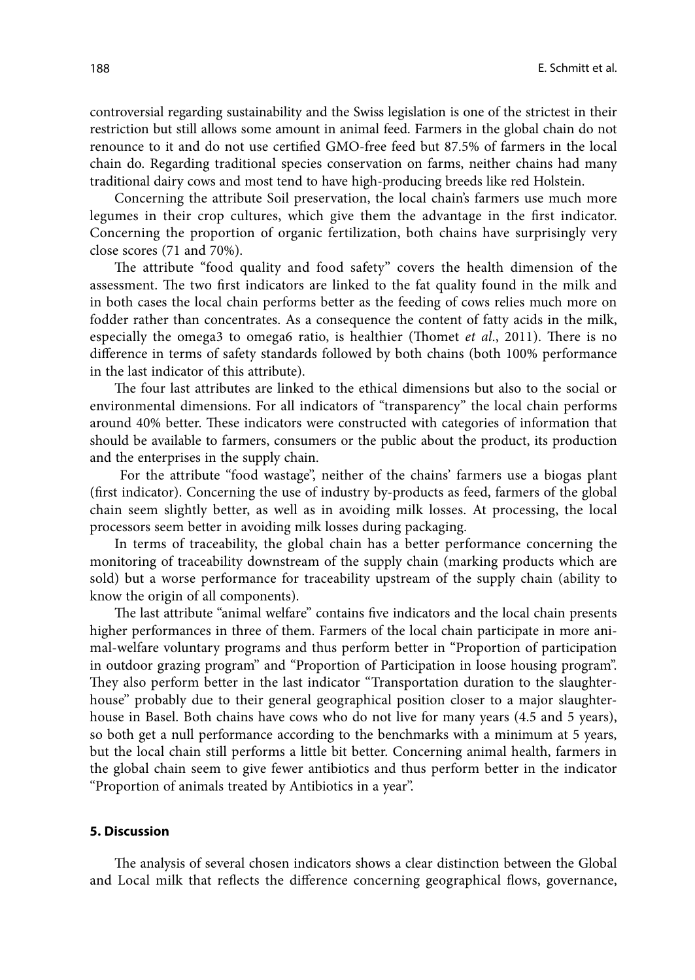controversial regarding sustainability and the Swiss legislation is one of the strictest in their restriction but still allows some amount in animal feed. Farmers in the global chain do not renounce to it and do not use certified GMO-free feed but 87.5% of farmers in the local chain do. Regarding traditional species conservation on farms, neither chains had many traditional dairy cows and most tend to have high-producing breeds like red Holstein.

Concerning the attribute Soil preservation, the local chain's farmers use much more legumes in their crop cultures, which give them the advantage in the first indicator. Concerning the proportion of organic fertilization, both chains have surprisingly very close scores (71 and 70%).

The attribute "food quality and food safety" covers the health dimension of the assessment. The two first indicators are linked to the fat quality found in the milk and in both cases the local chain performs better as the feeding of cows relies much more on fodder rather than concentrates. As a consequence the content of fatty acids in the milk, especially the omega3 to omega6 ratio, is healthier (Thomet *et al*., 2011). There is no difference in terms of safety standards followed by both chains (both 100% performance in the last indicator of this attribute).

The four last attributes are linked to the ethical dimensions but also to the social or environmental dimensions. For all indicators of "transparency" the local chain performs around 40% better. These indicators were constructed with categories of information that should be available to farmers, consumers or the public about the product, its production and the enterprises in the supply chain.

 For the attribute "food wastage", neither of the chains' farmers use a biogas plant (first indicator). Concerning the use of industry by-products as feed, farmers of the global chain seem slightly better, as well as in avoiding milk losses. At processing, the local processors seem better in avoiding milk losses during packaging.

In terms of traceability, the global chain has a better performance concerning the monitoring of traceability downstream of the supply chain (marking products which are sold) but a worse performance for traceability upstream of the supply chain (ability to know the origin of all components).

The last attribute "animal welfare" contains five indicators and the local chain presents higher performances in three of them. Farmers of the local chain participate in more animal-welfare voluntary programs and thus perform better in "Proportion of participation in outdoor grazing program" and "Proportion of Participation in loose housing program". They also perform better in the last indicator "Transportation duration to the slaughterhouse" probably due to their general geographical position closer to a major slaughterhouse in Basel. Both chains have cows who do not live for many years (4.5 and 5 years), so both get a null performance according to the benchmarks with a minimum at 5 years, but the local chain still performs a little bit better. Concerning animal health, farmers in the global chain seem to give fewer antibiotics and thus perform better in the indicator "Proportion of animals treated by Antibiotics in a year".

#### **5. Discussion**

The analysis of several chosen indicators shows a clear distinction between the Global and Local milk that reflects the difference concerning geographical flows, governance,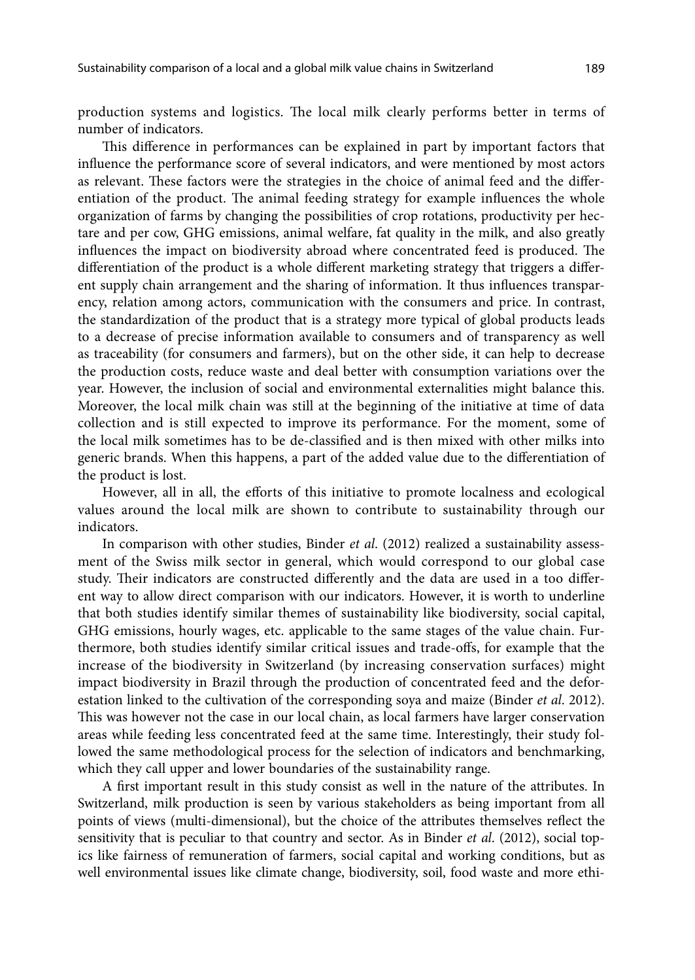production systems and logistics. The local milk clearly performs better in terms of number of indicators.

This difference in performances can be explained in part by important factors that influence the performance score of several indicators, and were mentioned by most actors as relevant. These factors were the strategies in the choice of animal feed and the differentiation of the product. The animal feeding strategy for example influences the whole organization of farms by changing the possibilities of crop rotations, productivity per hectare and per cow, GHG emissions, animal welfare, fat quality in the milk, and also greatly influences the impact on biodiversity abroad where concentrated feed is produced. The differentiation of the product is a whole different marketing strategy that triggers a different supply chain arrangement and the sharing of information. It thus influences transparency, relation among actors, communication with the consumers and price. In contrast, the standardization of the product that is a strategy more typical of global products leads to a decrease of precise information available to consumers and of transparency as well as traceability (for consumers and farmers), but on the other side, it can help to decrease the production costs, reduce waste and deal better with consumption variations over the year. However, the inclusion of social and environmental externalities might balance this. Moreover, the local milk chain was still at the beginning of the initiative at time of data collection and is still expected to improve its performance. For the moment, some of the local milk sometimes has to be de-classified and is then mixed with other milks into generic brands. When this happens, a part of the added value due to the differentiation of the product is lost.

However, all in all, the efforts of this initiative to promote localness and ecological values around the local milk are shown to contribute to sustainability through our indicators.

In comparison with other studies, Binder *et al*. (2012) realized a sustainability assessment of the Swiss milk sector in general, which would correspond to our global case study. Their indicators are constructed differently and the data are used in a too different way to allow direct comparison with our indicators. However, it is worth to underline that both studies identify similar themes of sustainability like biodiversity, social capital, GHG emissions, hourly wages, etc. applicable to the same stages of the value chain. Furthermore, both studies identify similar critical issues and trade-offs, for example that the increase of the biodiversity in Switzerland (by increasing conservation surfaces) might impact biodiversity in Brazil through the production of concentrated feed and the deforestation linked to the cultivation of the corresponding soya and maize (Binder *et al*. 2012). This was however not the case in our local chain, as local farmers have larger conservation areas while feeding less concentrated feed at the same time. Interestingly, their study followed the same methodological process for the selection of indicators and benchmarking, which they call upper and lower boundaries of the sustainability range.

A first important result in this study consist as well in the nature of the attributes. In Switzerland, milk production is seen by various stakeholders as being important from all points of views (multi-dimensional), but the choice of the attributes themselves reflect the sensitivity that is peculiar to that country and sector. As in Binder *et al*. (2012), social topics like fairness of remuneration of farmers, social capital and working conditions, but as well environmental issues like climate change, biodiversity, soil, food waste and more ethi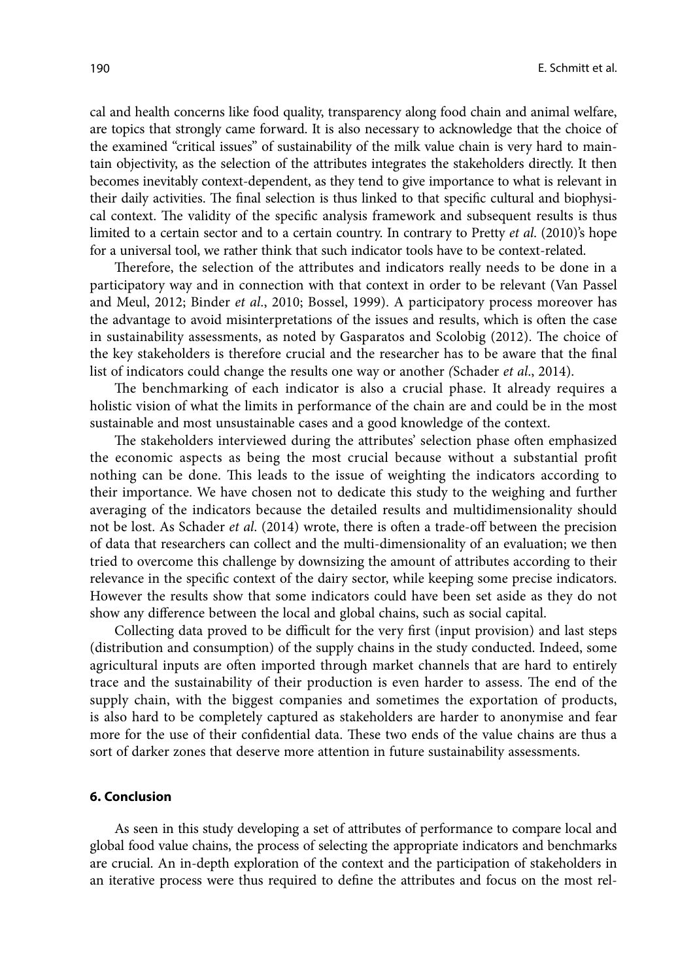cal and health concerns like food quality, transparency along food chain and animal welfare, are topics that strongly came forward. It is also necessary to acknowledge that the choice of the examined "critical issues" of sustainability of the milk value chain is very hard to maintain objectivity, as the selection of the attributes integrates the stakeholders directly. It then becomes inevitably context-dependent, as they tend to give importance to what is relevant in their daily activities. The final selection is thus linked to that specific cultural and biophysical context. The validity of the specific analysis framework and subsequent results is thus limited to a certain sector and to a certain country. In contrary to Pretty *et al*. (2010)'s hope for a universal tool, we rather think that such indicator tools have to be context-related.

Therefore, the selection of the attributes and indicators really needs to be done in a participatory way and in connection with that context in order to be relevant (Van Passel and Meul, 2012; Binder *et al*., 2010; Bossel, 1999). A participatory process moreover has the advantage to avoid misinterpretations of the issues and results, which is often the case in sustainability assessments, as noted by Gasparatos and Scolobig (2012). The choice of the key stakeholders is therefore crucial and the researcher has to be aware that the final list of indicators could change the results one way or another *(*Schader *et al*., 2014).

The benchmarking of each indicator is also a crucial phase. It already requires a holistic vision of what the limits in performance of the chain are and could be in the most sustainable and most unsustainable cases and a good knowledge of the context.

The stakeholders interviewed during the attributes' selection phase often emphasized the economic aspects as being the most crucial because without a substantial profit nothing can be done. This leads to the issue of weighting the indicators according to their importance. We have chosen not to dedicate this study to the weighing and further averaging of the indicators because the detailed results and multidimensionality should not be lost. As Schader *et al*. (2014) wrote, there is often a trade-off between the precision of data that researchers can collect and the multi-dimensionality of an evaluation; we then tried to overcome this challenge by downsizing the amount of attributes according to their relevance in the specific context of the dairy sector, while keeping some precise indicators. However the results show that some indicators could have been set aside as they do not show any difference between the local and global chains, such as social capital.

Collecting data proved to be difficult for the very first (input provision) and last steps (distribution and consumption) of the supply chains in the study conducted. Indeed, some agricultural inputs are often imported through market channels that are hard to entirely trace and the sustainability of their production is even harder to assess. The end of the supply chain, with the biggest companies and sometimes the exportation of products, is also hard to be completely captured as stakeholders are harder to anonymise and fear more for the use of their confidential data. These two ends of the value chains are thus a sort of darker zones that deserve more attention in future sustainability assessments.

#### **6. Conclusion**

As seen in this study developing a set of attributes of performance to compare local and global food value chains, the process of selecting the appropriate indicators and benchmarks are crucial. An in-depth exploration of the context and the participation of stakeholders in an iterative process were thus required to define the attributes and focus on the most rel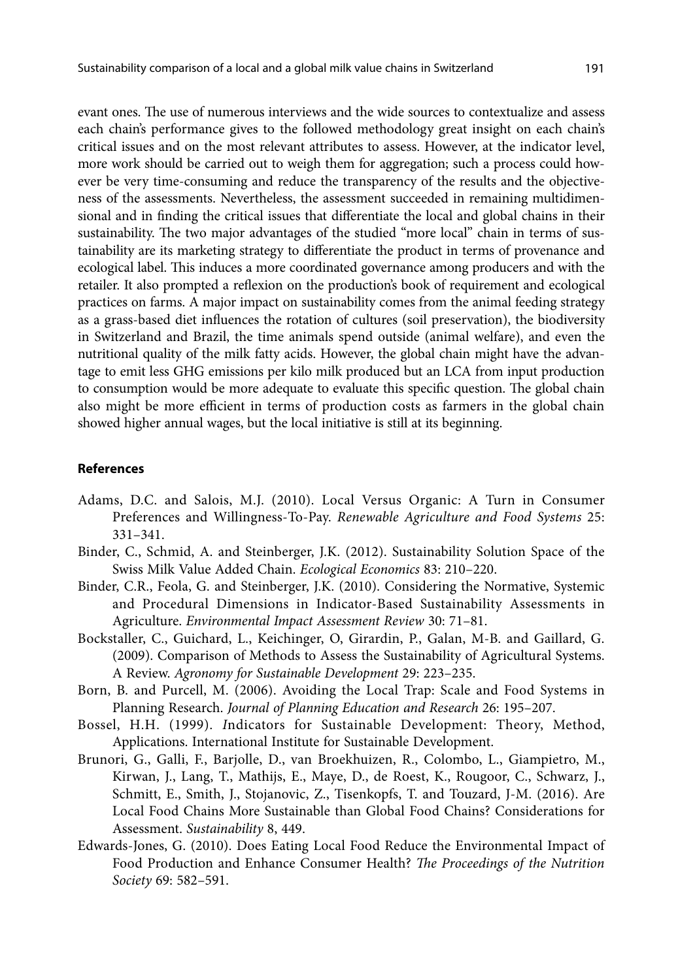evant ones. The use of numerous interviews and the wide sources to contextualize and assess each chain's performance gives to the followed methodology great insight on each chain's critical issues and on the most relevant attributes to assess. However, at the indicator level, more work should be carried out to weigh them for aggregation; such a process could however be very time-consuming and reduce the transparency of the results and the objectiveness of the assessments. Nevertheless, the assessment succeeded in remaining multidimensional and in finding the critical issues that differentiate the local and global chains in their sustainability. The two major advantages of the studied "more local" chain in terms of sustainability are its marketing strategy to differentiate the product in terms of provenance and ecological label. This induces a more coordinated governance among producers and with the retailer. It also prompted a reflexion on the production's book of requirement and ecological practices on farms. A major impact on sustainability comes from the animal feeding strategy as a grass-based diet influences the rotation of cultures (soil preservation), the biodiversity in Switzerland and Brazil, the time animals spend outside (animal welfare), and even the nutritional quality of the milk fatty acids. However, the global chain might have the advantage to emit less GHG emissions per kilo milk produced but an LCA from input production to consumption would be more adequate to evaluate this specific question. The global chain also might be more efficient in terms of production costs as farmers in the global chain showed higher annual wages, but the local initiative is still at its beginning.

#### **References**

- Adams, D.C. and Salois, M.J. (2010). Local Versus Organic: A Turn in Consumer Preferences and Willingness-To-Pay. *Renewable Agriculture and Food Systems* 25: 331–341.
- Binder, C., Schmid, A. and Steinberger, J.K. (2012). Sustainability Solution Space of the Swiss Milk Value Added Chain. *Ecological Economics* 83: 210–220.
- Binder, C.R., Feola, G. and Steinberger, J.K. (2010). Considering the Normative, Systemic and Procedural Dimensions in Indicator-Based Sustainability Assessments in Agriculture. *Environmental Impact Assessment Review* 30: 71–81.
- Bockstaller, C., Guichard, L., Keichinger, O, Girardin, P., Galan, M-B. and Gaillard, G. (2009). Comparison of Methods to Assess the Sustainability of Agricultural Systems. A Review. *Agronomy for Sustainable Development* 29: 223–235.
- Born, B. and Purcell, M. (2006). Avoiding the Local Trap: Scale and Food Systems in Planning Research. *Journal of Planning Education and Research* 26: 195–207.
- Bossel, H.H. (1999). *I*ndicators for Sustainable Development: Theory, Method, Applications. International Institute for Sustainable Development.
- Brunori, G., Galli, F., Barjolle, D., van Broekhuizen, R., Colombo, L., Giampietro, M., Kirwan, J., Lang, T., Mathijs, E., Maye, D., de Roest, K., Rougoor, C., Schwarz, J., Schmitt, E., Smith, J., Stojanovic, Z., Tisenkopfs, T. and Touzard, J-M. (2016). Are Local Food Chains More Sustainable than Global Food Chains? Considerations for Assessment. *Sustainability* 8, 449.
- Edwards-Jones, G. (2010). Does Eating Local Food Reduce the Environmental Impact of Food Production and Enhance Consumer Health? *The Proceedings of the Nutrition Society* 69: 582–591.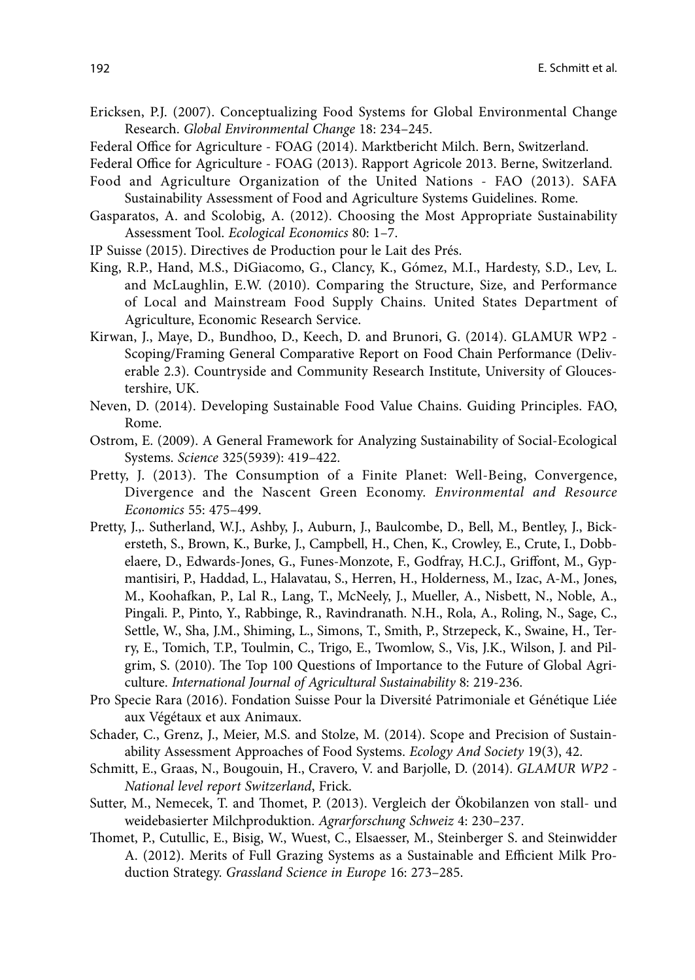- Ericksen, P.J. (2007). Conceptualizing Food Systems for Global Environmental Change Research. *Global Environmental Change* 18: 234–245.
- Federal Office for Agriculture FOAG (2014). Marktbericht Milch. Bern, Switzerland.
- Federal Office for Agriculture FOAG (2013). Rapport Agricole 2013. Berne, Switzerland.
- Food and Agriculture Organization of the United Nations FAO (2013). SAFA Sustainability Assessment of Food and Agriculture Systems Guidelines. Rome.
- Gasparatos, A. and Scolobig, A. (2012). Choosing the Most Appropriate Sustainability Assessment Tool. *Ecological Economics* 80: 1–7.
- IP Suisse (2015). Directives de Production pour le Lait des Prés.
- King, R.P., Hand, M.S., DiGiacomo, G., Clancy, K., Gómez, M.I., Hardesty, S.D., Lev, L. and McLaughlin, E.W. (2010). Comparing the Structure, Size, and Performance of Local and Mainstream Food Supply Chains. United States Department of Agriculture, Economic Research Service.
- Kirwan, J., Maye, D., Bundhoo, D., Keech, D. and Brunori, G. (2014). GLAMUR WP2 Scoping/Framing General Comparative Report on Food Chain Performance (Deliverable 2.3). Countryside and Community Research Institute, University of Gloucestershire, UK.
- Neven, D. (2014). Developing Sustainable Food Value Chains. Guiding Principles. FAO, Rome.
- Ostrom, E. (2009). A General Framework for Analyzing Sustainability of Social-Ecological Systems. *Science* 325(5939): 419–422.
- Pretty, J. (2013). The Consumption of a Finite Planet: Well-Being, Convergence, Divergence and the Nascent Green Economy. *Environmental and Resource Economics* 55: 475–499.
- Pretty, J.,. Sutherland, W.J., Ashby, J., Auburn, J., Baulcombe, D., Bell, M., Bentley, J., Bickersteth, S., Brown, K., Burke, J., Campbell, H., Chen, K., Crowley, E., Crute, I., Dobbelaere, D., Edwards-Jones, G., Funes-Monzote, F., Godfray, H.C.J., Griffont, M., Gypmantisiri, P., Haddad, L., Halavatau, S., Herren, H., Holderness, M., Izac, A-M., Jones, M., Koohafkan, P., Lal R., Lang, T., McNeely, J., Mueller, A., Nisbett, N., Noble, A., Pingali. P., Pinto, Y., Rabbinge, R., Ravindranath. N.H., Rola, A., Roling, N., Sage, C., Settle, W., Sha, J.M., Shiming, L., Simons, T., Smith, P., Strzepeck, K., Swaine, H., Terry, E., Tomich, T.P., Toulmin, C., Trigo, E., Twomlow, S., Vis, J.K., Wilson, J. and Pilgrim, S. (2010). The Top 100 Questions of Importance to the Future of Global Agriculture. *International Journal of Agricultural Sustainability* 8: 219-236.
- Pro Specie Rara (2016). Fondation Suisse Pour la Diversité Patrimoniale et Génétique Liée aux Végétaux et aux Animaux.
- Schader, C., Grenz, J., Meier, M.S. and Stolze, M. (2014). Scope and Precision of Sustainability Assessment Approaches of Food Systems. *Ecology And Society* 19(3), 42.
- Schmitt, E., Graas, N., Bougouin, H., Cravero, V. and Barjolle, D. (2014). *GLAMUR WP2 National level report Switzerland*, Frick.
- Sutter, M., Nemecek, T. and Thomet, P. (2013). Vergleich der Ökobilanzen von stall- und weidebasierter Milchproduktion. *Agrarforschung Schweiz* 4: 230–237.
- Thomet, P., Cutullic, E., Bisig, W., Wuest, C., Elsaesser, M., Steinberger S. and Steinwidder A. (2012). Merits of Full Grazing Systems as a Sustainable and Efficient Milk Production Strategy. *Grassland Science in Europe* 16: 273–285.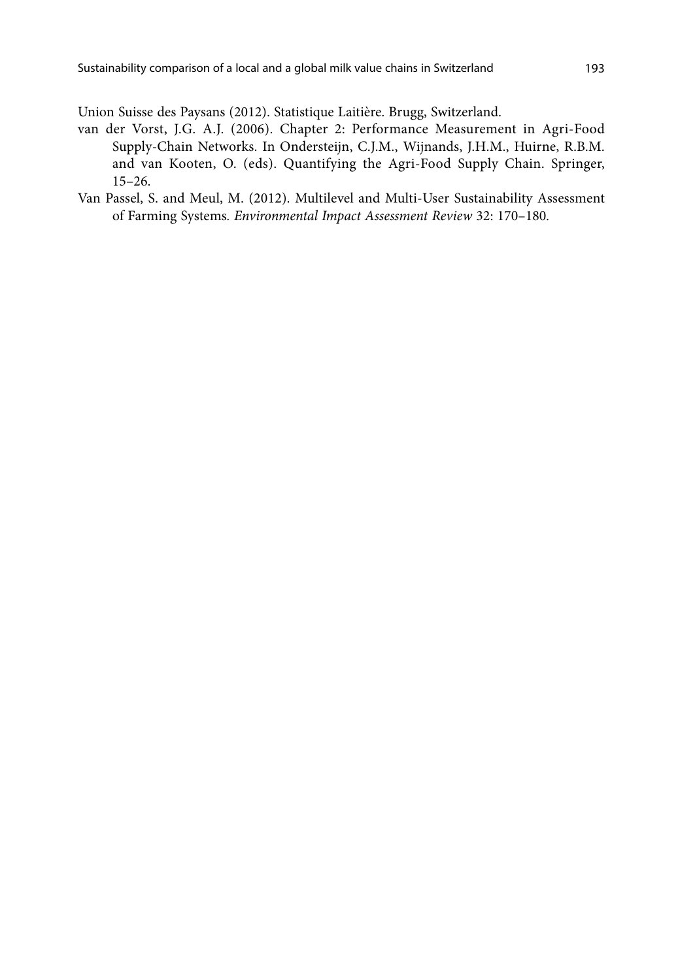Union Suisse des Paysans (2012). Statistique Laitière. Brugg, Switzerland.

- van der Vorst, J.G. A.J. (2006). Chapter 2: Performance Measurement in Agri-Food Supply-Chain Networks. In Ondersteijn, C.J.M., Wijnands, J.H.M., Huirne, R.B.M. and van Kooten, O. (eds). Quantifying the Agri-Food Supply Chain. Springer, 15–26.
- Van Passel, S. and Meul, M. (2012). Multilevel and Multi-User Sustainability Assessment of Farming Systems*. Environmental Impact Assessment Review* 32: 170–180*.*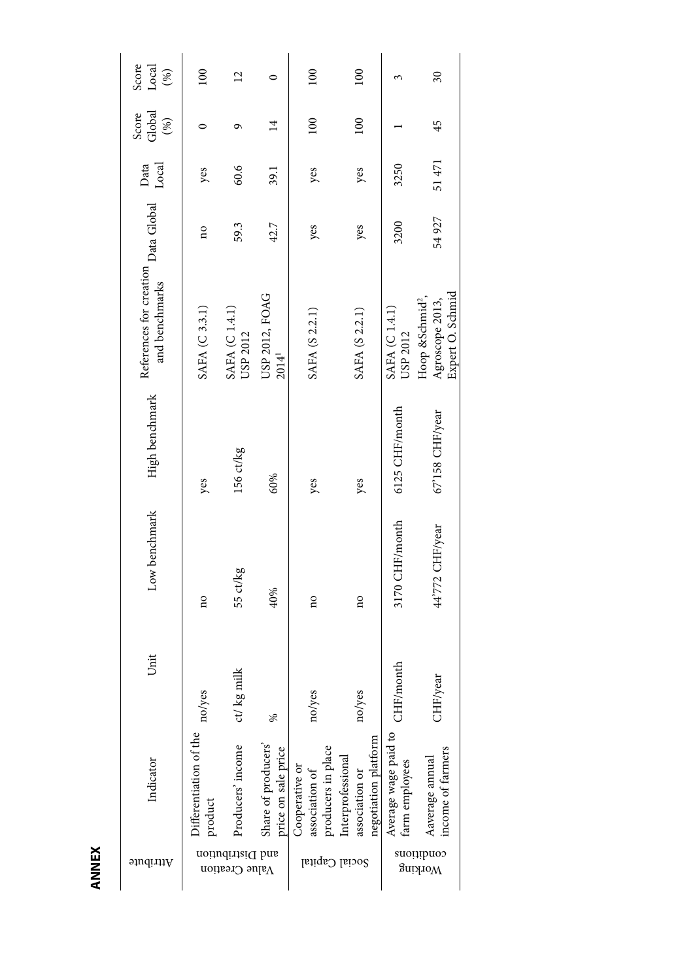| Attribute                          | Indicator                                                   | Unit                       | Low benchmark   | High benchmark  | References for creation Data Global Pata<br>and benchmarks         |                         | Local | Global<br>Score<br>(%) | Score<br>Local<br>(%) |
|------------------------------------|-------------------------------------------------------------|----------------------------|-----------------|-----------------|--------------------------------------------------------------------|-------------------------|-------|------------------------|-----------------------|
|                                    | Differentiation of the<br>product                           | no/yes                     | no              | yes             | SAFA (C 3.3.1)                                                     | $\overline{\mathbf{a}}$ | yes   |                        | 100                   |
| and Distribution<br>Value Creation | Producers' income                                           | milk<br>$\mathsf{ct}/\log$ | 55 ct/kg        | 156 ct/kg       | SAFA (C1.4.1)<br>USP 2012                                          | 59.3                    | 60.6  | ᡡ                      | $\overline{c}$        |
|                                    | Share of producers'<br>price on sale price                  | ℅                          | 40%             | 60%             | USP 2012, FOAG<br>2014 <sup>1</sup>                                | 42.7                    | 39.1  | $\overline{14}$        | 0                     |
|                                    | producers in place<br>Cooperative or<br>association of      | no/yes                     | no              | yes             | SAFA (S 2.2.1)                                                     | yes                     | yes   | 100                    | 100                   |
| Social Capital                     | negotiation platform<br>Interprofessional<br>association or | no/yes                     | ã               | yes             | SAFA (S 2.2.1)                                                     | yes                     | yes   | 100                    | 100                   |
|                                    | Average wage paid to<br>farm employees                      | month<br>CHF/1             | 3170 CHF/month  | 6125 CHF/month  | SAFA (C 1.4.1)<br>USP 2012                                         | 3200                    | 3250  |                        |                       |
| conditions<br>Working              | income of farmers<br>Aaverage annual                        | rear<br>CHF/y              | 44'772 CHF/year | 67'158 CHF/year | Expert O. Schmid<br>Hoop &Schmid <sup>2</sup> ,<br>Agroscope 2013, | 54927                   | 51471 | 45                     | $\overline{\omega}$   |

**ANNEX**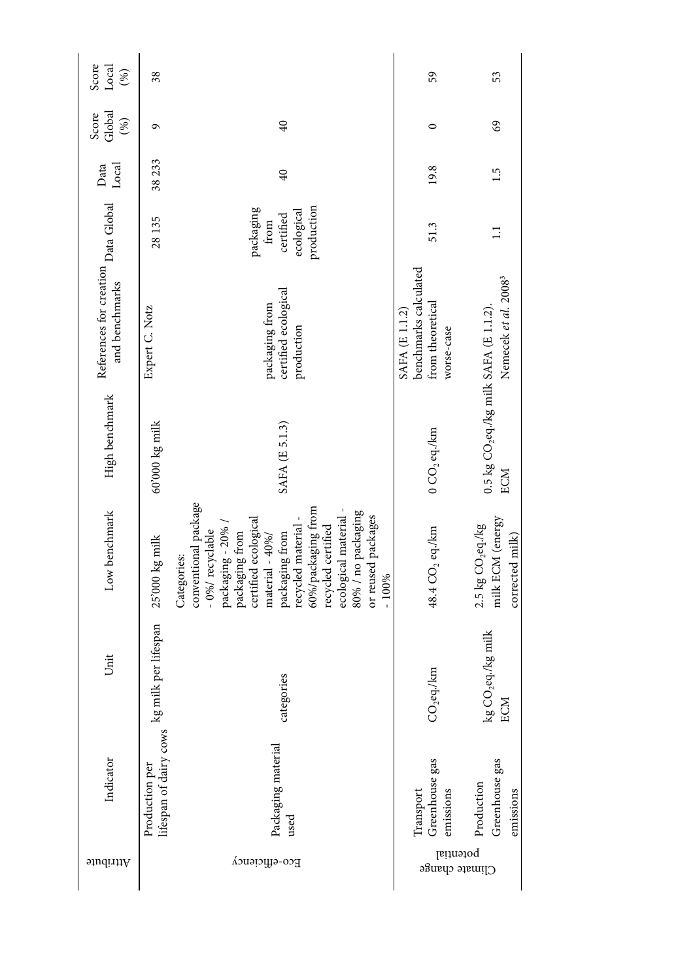| Score<br>Local<br>(%)                                 | 38                                                                 |                                                                                                                                                                                                                                                                                                              | 59                                                                        | 53                                                                          |
|-------------------------------------------------------|--------------------------------------------------------------------|--------------------------------------------------------------------------------------------------------------------------------------------------------------------------------------------------------------------------------------------------------------------------------------------------------------|---------------------------------------------------------------------------|-----------------------------------------------------------------------------|
| Global<br>Score<br>(%)                                | G                                                                  | 40                                                                                                                                                                                                                                                                                                           | $\circ$                                                                   | 69                                                                          |
| Data<br>Local                                         | 38 233                                                             | 40                                                                                                                                                                                                                                                                                                           | 19.8                                                                      | 1.5                                                                         |
|                                                       | 28 135                                                             | production<br>packaging<br>ecological<br>certified<br>from                                                                                                                                                                                                                                                   | 51.3                                                                      | $\Box$                                                                      |
| References for creation Data Global<br>and benchmarks | Expert C. Notz                                                     | certified ecological<br>packaging from<br>production                                                                                                                                                                                                                                                         | benchmarks calculated<br>from theoretical<br>SAFA (E 1.1.2)<br>worse-case | Nemecek et al. 2008 <sup>3</sup>                                            |
| High benchmark                                        | 60'000 kg milk                                                     | SAFA (E 5.1.3)                                                                                                                                                                                                                                                                                               | $0$ CO <sub>2</sub> eq./km                                                | 0.5 kg $\text{CO}_2$ eq./kg milk SAFA (E 1.1.2).<br>ECM                     |
| Low benchmark                                         | 25'000 kg milk                                                     | conventional package<br>60%/packaging from<br>ecological material -<br>80% / no packaging<br>or reused packages<br>certified ecological<br>recycled material -<br>packaging - 20%<br>recycled certified<br>- 0%/ recyclable<br>packaging from<br>packaging from<br>material - 40%/<br>Categories:<br>$-100%$ | 48.4 CO <sub>2</sub> eq./km                                               | milk ECM (energy<br>2.5 $kg$ $CO$ <sub>2</sub> eq./ $kg$<br>corrected milk) |
| Unit                                                  |                                                                    | categories                                                                                                                                                                                                                                                                                                   | $CO2$ eq./km                                                              | kg CO <sub>2</sub> eq./kg milk<br>ECM                                       |
| Indicator                                             | lifespan of dairy cows $\;$ kg milk per lifespan<br>Production per | Packaging material<br>used                                                                                                                                                                                                                                                                                   | Greenhouse gas<br>Transport<br>emissions                                  | Greenhouse gas<br>Production<br>emissions                                   |
| Attribute                                             |                                                                    | Eco-efficiency                                                                                                                                                                                                                                                                                               | potential<br>Climate change                                               |                                                                             |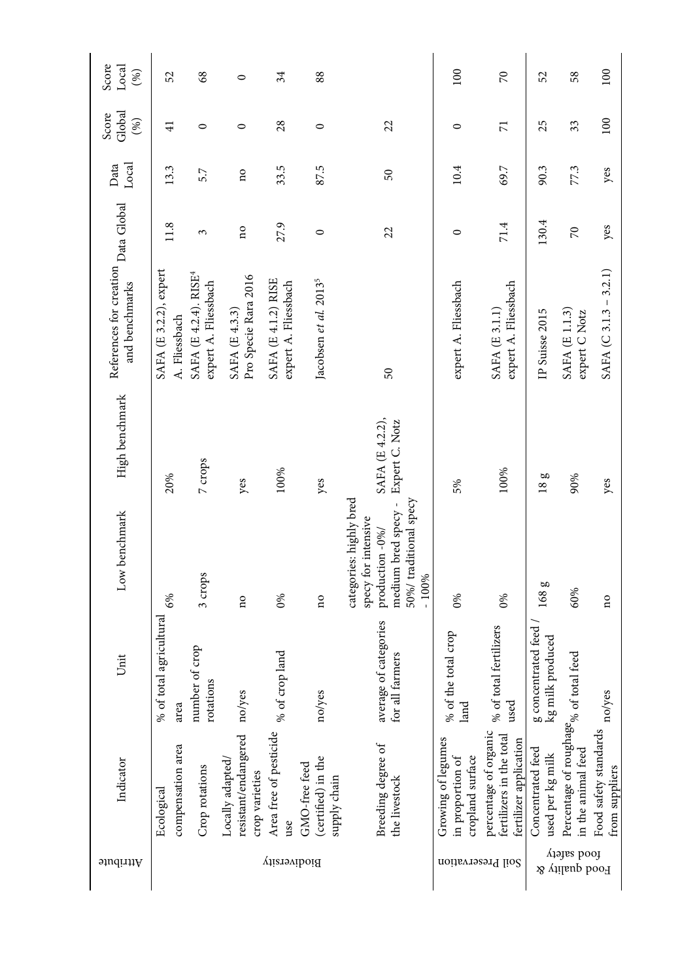| Score<br>Local<br>(%)                                 | 52                                      | $\frac{8}{3}$                                             | $\circ$                                                    | 34                                                 | 88                                                  |                                                                                                                               | 100                                                        | $\mathcal{R}$                                                               | 52                                      | 58                                                                      | 100                                     |
|-------------------------------------------------------|-----------------------------------------|-----------------------------------------------------------|------------------------------------------------------------|----------------------------------------------------|-----------------------------------------------------|-------------------------------------------------------------------------------------------------------------------------------|------------------------------------------------------------|-----------------------------------------------------------------------------|-----------------------------------------|-------------------------------------------------------------------------|-----------------------------------------|
| Global<br>Score<br>$(\%)$                             | $\overline{4}$                          | $\circ$                                                   | $\circ$                                                    | 28                                                 | 0                                                   | 22                                                                                                                            | $\circ$                                                    | $\overline{7}$                                                              | 25                                      | 33                                                                      | 100                                     |
| Local<br>Data                                         | 13.3                                    | 5.7                                                       | $\overline{\mathbf{n}}$                                    | 33.5                                               | 87.5                                                | 50                                                                                                                            | 10.4                                                       | 69.7                                                                        | 90.3                                    | 77.3                                                                    | yes                                     |
|                                                       | 11.8                                    | 3                                                         | $\overline{\mathbf{n}}$                                    | 27.9                                               | $\circ$                                             | 22                                                                                                                            | $\circ$                                                    | 71.4                                                                        | 130.4                                   | $\overline{2}$                                                          | yes                                     |
| References for creation Data Global<br>and benchmarks | SAFA (E 3.2.2), expert<br>A. Fliessbach | SAFA (E 4.2.4). RISE <sup>4</sup><br>expert A. Fliessbach | Pro Specie Rara 2016<br>SAFA (E 4.3.3)                     | <b>SAFA (E 4.1.2) RISE</b><br>expert A. Fliessbach | Jacobsen et al. 2013 <sup>5</sup>                   | 50                                                                                                                            | expert A. Fliessbach                                       | expert A. Fliessbach<br>SAFA (E 3.1.1)                                      | IP Suisse 2015                          | SAFA (E 1.1.3)<br>expert C Notz                                         | $SAFA (C.3.1.3 - 3.2.1)$                |
| High benchmark                                        | 20%                                     | 7 crops                                                   | yes                                                        | 100%                                               | yes                                                 | SAFA (E 4.2.2),<br>Expert C. Notz                                                                                             | 5%                                                         | 100%                                                                        | 18g                                     | 90%                                                                     | yes                                     |
| Low benchmark                                         | 6%                                      | 3 crops                                                   | $\overline{\mathbf{n}}$                                    | $0\%$                                              | $\overline{\mathbf{n}}$                             | categories: highly bred<br>50%/ traditional specy<br>medium bred specy -<br>specy for intensive<br>production -0%/<br>$-100%$ | $0\%$                                                      | $0\%$                                                                       | 168 g                                   | 60%                                                                     | $\overline{\mathbf{n}}$                 |
| Unit                                                  | total agricultural<br>% of<br>area      | number of crop<br>rotations                               | no/yes                                                     | crop land<br>% of                                  | res<br>$\log$                                       | average of categories<br>for all farmers                                                                                      | the total crop<br>% of<br>land                             | total fertilizers<br>used<br>% of                                           | g concentrated feed<br>kg milk produced |                                                                         | no/yes                                  |
| Indicator                                             | compensation area<br>Ecological         | Crop rotations                                            | resistant/endangered<br>Locally adapted,<br>crop varieties | Area free of pesticide<br>use                      | (certified) in the<br>GMO-free feed<br>supply chain | Breeding degree of<br>the livestock                                                                                           | Growing of legumes<br>cropland surface<br>in proportion of | percentage of organic<br>fertilizers in the total<br>fertilizer application | Concentrated feed<br>used per kg milk   | Percentage of roughage <sub>%</sub> of total feed<br>in the animal feed | Food safety standards<br>from suppliers |
| Attribute                                             |                                         |                                                           |                                                            | Biodiversity                                       |                                                     |                                                                                                                               | noitsvrasarq lio2                                          |                                                                             |                                         | pool safety<br>Pood quality &                                           |                                         |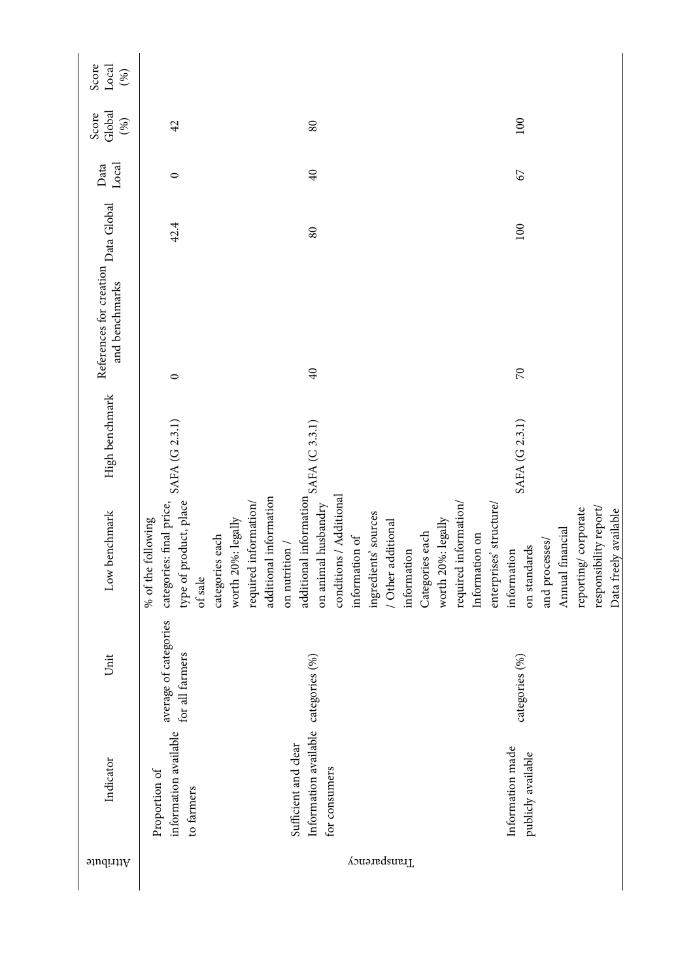| Score<br>Local<br>(%)                                 |                                                                                     |                                                                                                                                                                                                                                |                                                                             |                                                                                                                                                              |                                                                                            |
|-------------------------------------------------------|-------------------------------------------------------------------------------------|--------------------------------------------------------------------------------------------------------------------------------------------------------------------------------------------------------------------------------|-----------------------------------------------------------------------------|--------------------------------------------------------------------------------------------------------------------------------------------------------------|--------------------------------------------------------------------------------------------|
| Global<br>Score<br>(%)                                | 42                                                                                  | $\rm 80$                                                                                                                                                                                                                       |                                                                             | 100                                                                                                                                                          |                                                                                            |
| Local<br>Data                                         | $\circ$                                                                             | $40$                                                                                                                                                                                                                           |                                                                             | $\mathcal{L}$                                                                                                                                                |                                                                                            |
| References for creation Data Global<br>and benchmarks | 42.4                                                                                | $\rm 80$                                                                                                                                                                                                                       |                                                                             | 100                                                                                                                                                          |                                                                                            |
|                                                       | $\circ$                                                                             | 40                                                                                                                                                                                                                             |                                                                             | $\overline{C}$                                                                                                                                               |                                                                                            |
| High benchmark                                        | SAFA (G 2.3.1)                                                                      |                                                                                                                                                                                                                                |                                                                             | SAFA (G 2.3.1)                                                                                                                                               |                                                                                            |
| Low benchmark                                         | categories: final price,<br>type of product, place<br>% of the following<br>of sale | additional information $\mbox{SAFA}$<br>(C $3.3.1)$<br>conditions / Additional<br>additional information<br>on animal husbandry<br>required information/<br>worth 20%: legally<br>categories each<br>on nutrition $\mathcal I$ | ingredients' sources<br>/ Other additional<br>information of<br>information | required information/<br>enterprises' structure/<br>worth 20%: legally<br>Categories each<br>Information on<br>and processes/<br>on standards<br>information | responsibility report/<br>reporting/corporate<br>Data freely available<br>Annual financial |
| Unit                                                  | of categories<br>for all farmers<br>average                                         |                                                                                                                                                                                                                                |                                                                             | categories (%)                                                                                                                                               |                                                                                            |
| Indicator                                             | information available<br>Proportion of<br>to farmers                                | Information available categories (%)<br>Sufficient and clear<br>for consumers                                                                                                                                                  |                                                                             | Information made<br>publicly available                                                                                                                       |                                                                                            |
| Attribute                                             |                                                                                     |                                                                                                                                                                                                                                | Transparency                                                                |                                                                                                                                                              |                                                                                            |